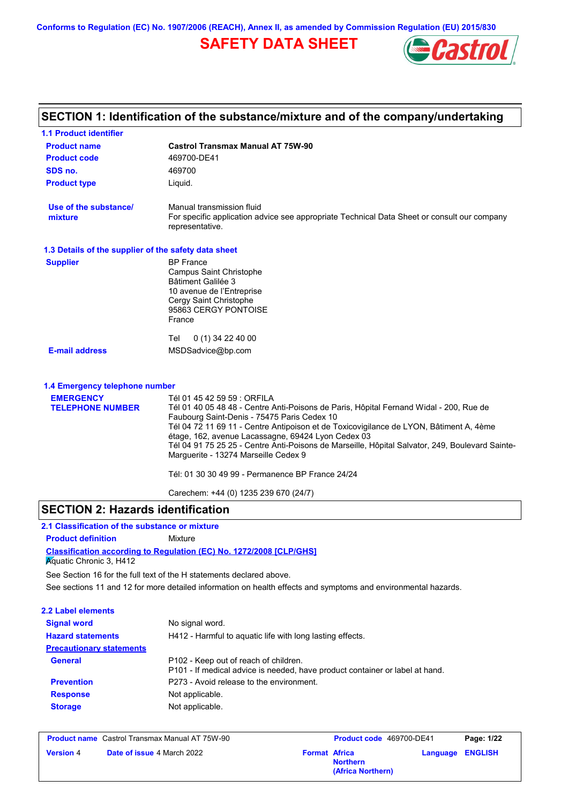**Conforms to Regulation (EC) No. 1907/2006 (REACH), Annex II, as amended by Commission Regulation (EU) 2015/830**

# **SAFETY DATA SHEET**



### **Castrol Transmax Manual AT 75W-90 Product name 1.1 Product identifier 1.3 Details of the supplier of the safety data sheet Product type Liquid. E-mail address** MSDSadvice@bp.com **SECTION 1: Identification of the substance/mixture and of the company/undertaking Product code 469700-DE41 1.4 Emergency telephone number EMERGENCY TELEPHONE NUMBER** Tél 01 45 42 59 59 : ORFILA Tél 01 40 05 48 48 - Centre Anti-Poisons de Paris, Hôpital Fernand Widal - 200, Rue de Faubourg Saint-Denis - 75475 Paris Cedex 10 Tél 04 72 11 69 11 - Centre Antipoison et de Toxicovigilance de LYON, Bâtiment A, 4ème étage, 162, avenue Lacassagne, 69424 Lyon Cedex 03 Tél 04 91 75 25 25 - Centre Anti-Poisons de Marseille, Hôpital Salvator, 249, Boulevard Sainte-Marguerite - 13274 Marseille Cedex 9 Tél: 01 30 30 49 99 - Permanence BP France 24/24 Carechem: +44 (0) 1235 239 670 (24/7) **Supplier** BP France Campus Saint Christophe Bâtiment Galilée 3 10 avenue de l'Entreprise Cergy Saint Christophe 95863 CERGY PONTOISE France Tel 0 (1) 34 22 40 00 **SDS no.** 469700 **Use of the substance/ mixture** Manual transmission fluid For specific application advice see appropriate Technical Data Sheet or consult our company representative.

## **SECTION 2: Hazards identification**

#### **Classification according to Regulation (EC) No. 1272/2008 [CLP/GHS] 2.1 Classification of the substance or mixture Product definition** Mixture **Aguatic Chronic 3, H412**

See sections 11 and 12 for more detailed information on health effects and symptoms and environmental hazards. See Section 16 for the full text of the H statements declared above.

| 2.2 Label elements              |                                                                                                                       |
|---------------------------------|-----------------------------------------------------------------------------------------------------------------------|
| <b>Signal word</b>              | No signal word.                                                                                                       |
| <b>Hazard statements</b>        | H412 - Harmful to aguatic life with long lasting effects.                                                             |
| <b>Precautionary statements</b> |                                                                                                                       |
| <b>General</b>                  | P102 - Keep out of reach of children.<br>P101 - If medical advice is needed, have product container or label at hand. |
| <b>Prevention</b>               | P273 - Avoid release to the environment.                                                                              |
| <b>Response</b>                 | Not applicable.                                                                                                       |
| <b>Storage</b>                  | Not applicable.                                                                                                       |
|                                 |                                                                                                                       |

| <b>Product name</b> Castrol Transmax Manual AT 75W-90 |                                   | <b>Product code</b> 469700-DE41 |                                      | Page: 1/22 |                         |
|-------------------------------------------------------|-----------------------------------|---------------------------------|--------------------------------------|------------|-------------------------|
| <b>Version 4</b>                                      | <b>Date of issue 4 March 2022</b> | <b>Format Africa</b>            | <b>Northern</b><br>(Africa Northern) |            | <b>Language ENGLISH</b> |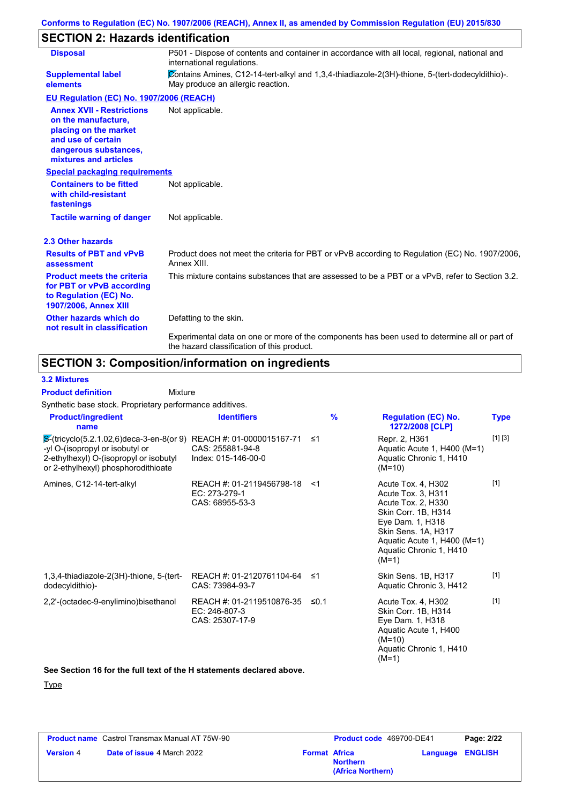# **SECTION 2: Hazards identification**

| <b>Disposal</b>                                                                                                                                          | P501 - Dispose of contents and container in accordance with all local, regional, national and<br>international regulations.                |
|----------------------------------------------------------------------------------------------------------------------------------------------------------|--------------------------------------------------------------------------------------------------------------------------------------------|
| <b>Supplemental label</b><br>elements                                                                                                                    | Contains Amines, C12-14-tert-alkyl and 1,3,4-thiadiazole-2(3H)-thione, 5-(tert-dodecyldithio)-.<br>May produce an allergic reaction.       |
| EU Regulation (EC) No. 1907/2006 (REACH)                                                                                                                 |                                                                                                                                            |
| <b>Annex XVII - Restrictions</b><br>on the manufacture,<br>placing on the market<br>and use of certain<br>dangerous substances,<br>mixtures and articles | Not applicable.                                                                                                                            |
| <b>Special packaging requirements</b>                                                                                                                    |                                                                                                                                            |
| <b>Containers to be fitted</b><br>with child-resistant<br>fastenings                                                                                     | Not applicable.                                                                                                                            |
| <b>Tactile warning of danger</b>                                                                                                                         | Not applicable.                                                                                                                            |
| 2.3 Other hazards                                                                                                                                        |                                                                                                                                            |
| <b>Results of PBT and vPvB</b><br>assessment                                                                                                             | Product does not meet the criteria for PBT or vPvB according to Regulation (EC) No. 1907/2006.<br>Annex XIII.                              |
| <b>Product meets the criteria</b><br>for PBT or vPvB according<br>to Regulation (EC) No.<br><b>1907/2006, Annex XIII</b>                                 | This mixture contains substances that are assessed to be a PBT or a vPvB, refer to Section 3.2.                                            |
| Other hazards which do<br>not result in classification                                                                                                   | Defatting to the skin.                                                                                                                     |
|                                                                                                                                                          | Experimental data on one or more of the components has been used to determine all or part of<br>the hazard classification of this product. |

# **SECTION 3: Composition/information on ingredients**

# **3.2 Mixtures**

Synthetic base stock. Proprietary performance additives. Mixture **Product definition**

| <b>Product/ingredient</b><br>name                                                                                                                                                                      | <b>Identifiers</b>                                            | $\frac{9}{6}$ | <b>Regulation (EC) No.</b><br>1272/2008 [CLP]                                                                                                                                                         | <b>Type</b> |
|--------------------------------------------------------------------------------------------------------------------------------------------------------------------------------------------------------|---------------------------------------------------------------|---------------|-------------------------------------------------------------------------------------------------------------------------------------------------------------------------------------------------------|-------------|
| $\frac{1}{2}$ (tricyclo(5.2.1.02,6) deca-3-en-8(or 9) REACH #: 01-0000015167-71 ≤1<br>-yl O-(isopropyl or isobutyl or<br>2-ethylhexyl) O-(isopropyl or isobutyl<br>or 2-ethylhexyl) phosphorodithioate | CAS: 255881-94-8<br>Index: 015-146-00-0                       |               | Repr. 2, H361<br>Aquatic Acute 1, H400 (M=1)<br>Aquatic Chronic 1, H410<br>$(M=10)$                                                                                                                   | $[1] [3]$   |
| Amines, C12-14-tert-alkyl                                                                                                                                                                              | REACH #: 01-2119456798-18<br>EC: 273-279-1<br>CAS: 68955-53-3 | $<$ 1         | Acute Tox. 4, H302<br>Acute Tox. 3, H311<br>Acute Tox. 2, H330<br>Skin Corr. 1B, H314<br>Eye Dam. 1, H318<br>Skin Sens. 1A, H317<br>Aquatic Acute 1, H400 (M=1)<br>Aquatic Chronic 1, H410<br>$(M=1)$ | $[1]$       |
| 1,3,4-thiadiazole-2(3H)-thione, 5-(tert-<br>dodecyldithio)-                                                                                                                                            | REACH #: 01-2120761104-64<br>CAS: 73984-93-7                  | ≤1            | Skin Sens. 1B, H317<br>Aquatic Chronic 3, H412                                                                                                                                                        | $[1]$       |
| 2,2'-(octadec-9-enylimino)bisethanol                                                                                                                                                                   | REACH #: 01-2119510876-35<br>EC: 246-807-3<br>CAS: 25307-17-9 | ≤0.1          | Acute Tox. 4, H302<br>Skin Corr. 1B, H314<br>Eye Dam. 1, H318<br>Aquatic Acute 1, H400<br>$(M=10)$<br>Aquatic Chronic 1, H410<br>(M=1)                                                                | $[1]$       |

#### **See Section 16 for the full text of the H statements declared above.**

**Type** 

| <b>Product name</b> Castrol Transmax Manual AT 75W-90 |                                   | Product code 469700-DE41 |                                      | Page: 2/22 |                         |
|-------------------------------------------------------|-----------------------------------|--------------------------|--------------------------------------|------------|-------------------------|
| <b>Version 4</b>                                      | <b>Date of issue 4 March 2022</b> | <b>Format Africa</b>     | <b>Northern</b><br>(Africa Northern) |            | <b>Language ENGLISH</b> |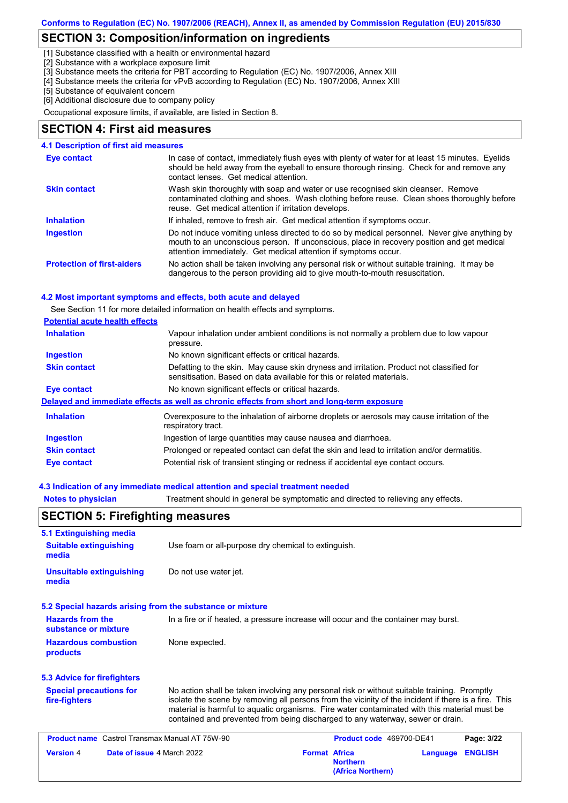# **SECTION 3: Composition/information on ingredients**

[1] Substance classified with a health or environmental hazard

[2] Substance with a workplace exposure limit

[3] Substance meets the criteria for PBT according to Regulation (EC) No. 1907/2006, Annex XIII

- [4] Substance meets the criteria for vPvB according to Regulation (EC) No. 1907/2006, Annex XIII
- [5] Substance of equivalent concern

[6] Additional disclosure due to company policy

Occupational exposure limits, if available, are listed in Section 8.

### **SECTION 4: First aid measures**

#### **4.1 Description of first aid measures**

| Eye contact                       | In case of contact, immediately flush eyes with plenty of water for at least 15 minutes. Eyelids<br>should be held away from the eyeball to ensure thorough rinsing. Check for and remove any<br>contact lenses. Get medical attention.                       |
|-----------------------------------|---------------------------------------------------------------------------------------------------------------------------------------------------------------------------------------------------------------------------------------------------------------|
| <b>Skin contact</b>               | Wash skin thoroughly with soap and water or use recognised skin cleanser. Remove<br>contaminated clothing and shoes. Wash clothing before reuse. Clean shoes thoroughly before<br>reuse. Get medical attention if irritation develops.                        |
| <b>Inhalation</b>                 | If inhaled, remove to fresh air. Get medical attention if symptoms occur.                                                                                                                                                                                     |
| <b>Ingestion</b>                  | Do not induce vomiting unless directed to do so by medical personnel. Never give anything by<br>mouth to an unconscious person. If unconscious, place in recovery position and get medical<br>attention immediately. Get medical attention if symptoms occur. |
| <b>Protection of first-aiders</b> | No action shall be taken involving any personal risk or without suitable training. It may be<br>dangerous to the person providing aid to give mouth-to-mouth resuscitation.                                                                                   |

#### **4.2 Most important symptoms and effects, both acute and delayed**

See Section 11 for more detailed information on health effects and symptoms.

| <b>Potential acute health effects</b> |                                                                                                                                                                   |
|---------------------------------------|-------------------------------------------------------------------------------------------------------------------------------------------------------------------|
| <b>Inhalation</b>                     | Vapour inhalation under ambient conditions is not normally a problem due to low vapour<br>pressure.                                                               |
| Ingestion                             | No known significant effects or critical hazards.                                                                                                                 |
| <b>Skin contact</b>                   | Defatting to the skin. May cause skin dryness and irritation. Product not classified for<br>sensitisation. Based on data available for this or related materials. |
| Eye contact                           | No known significant effects or critical hazards.                                                                                                                 |
|                                       | Delayed and immediate effects as well as chronic effects from short and long-term exposure                                                                        |
| <b>Inhalation</b>                     | Overexposure to the inhalation of airborne droplets or aerosols may cause irritation of the<br>respiratory tract.                                                 |
| Ingestion                             | Ingestion of large quantities may cause nausea and diarrhoea.                                                                                                     |
| <b>Skin contact</b>                   | Prolonged or repeated contact can defat the skin and lead to irritation and/or dermatitis.                                                                        |
| <b>Eye contact</b>                    | Potential risk of transient stinging or redness if accidental eye contact occurs.                                                                                 |

#### **4.3 Indication of any immediate medical attention and special treatment needed**

**Notes to physician** Treatment should in general be symptomatic and directed to relieving any effects.

|                                                                                                                                        | <b>SECTION 5: Firefighting measures</b>                                                                                                                                                                                                                                                                                                                                               |                                                              |                          |                |
|----------------------------------------------------------------------------------------------------------------------------------------|---------------------------------------------------------------------------------------------------------------------------------------------------------------------------------------------------------------------------------------------------------------------------------------------------------------------------------------------------------------------------------------|--------------------------------------------------------------|--------------------------|----------------|
| 5.1 Extinguishing media                                                                                                                |                                                                                                                                                                                                                                                                                                                                                                                       |                                                              |                          |                |
| <b>Suitable extinguishing</b><br>media                                                                                                 | Use foam or all-purpose dry chemical to extinguish.                                                                                                                                                                                                                                                                                                                                   |                                                              |                          |                |
| <b>Unsuitable extinguishing</b><br>media                                                                                               | Do not use water jet.                                                                                                                                                                                                                                                                                                                                                                 |                                                              |                          |                |
| 5.2 Special hazards arising from the substance or mixture                                                                              |                                                                                                                                                                                                                                                                                                                                                                                       |                                                              |                          |                |
| <b>Hazards from the</b><br>In a fire or if heated, a pressure increase will occur and the container may burst.<br>substance or mixture |                                                                                                                                                                                                                                                                                                                                                                                       |                                                              |                          |                |
| <b>Hazardous combustion</b><br>products                                                                                                | None expected.                                                                                                                                                                                                                                                                                                                                                                        |                                                              |                          |                |
| 5.3 Advice for firefighters                                                                                                            |                                                                                                                                                                                                                                                                                                                                                                                       |                                                              |                          |                |
| <b>Special precautions for</b><br>fire-fighters                                                                                        | No action shall be taken involving any personal risk or without suitable training. Promptly<br>isolate the scene by removing all persons from the vicinity of the incident if there is a fire. This<br>material is harmful to aquatic organisms. Fire water contaminated with this material must be<br>contained and prevented from being discharged to any waterway, sewer or drain. |                                                              |                          |                |
| <b>Product name</b> Castrol Transmax Manual AT 75W-90                                                                                  |                                                                                                                                                                                                                                                                                                                                                                                       |                                                              | Product code 469700-DE41 | Page: 3/22     |
| Date of issue 4 March 2022<br><b>Version 4</b>                                                                                         |                                                                                                                                                                                                                                                                                                                                                                                       | <b>Format Africa</b><br><b>Northern</b><br>(Africa Northern) | Language                 | <b>ENGLISH</b> |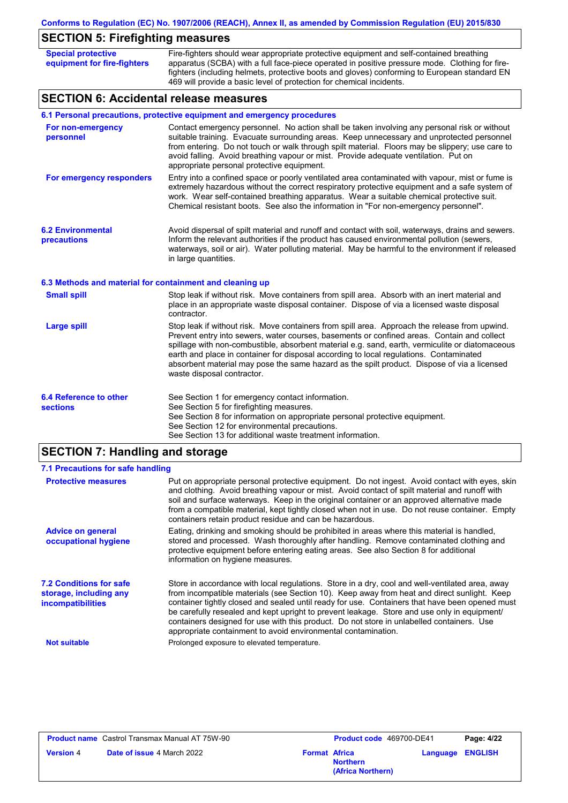# **SECTION 5: Firefighting measures**

| <b>Special protective</b><br>equipment for fire-fighters | Fire-fighters should wear appropriate protective equipment and self-contained breathing<br>apparatus (SCBA) with a full face-piece operated in positive pressure mode. Clothing for fire-<br>fighters (including helmets, protective boots and gloves) conforming to European standard EN<br>469 will provide a basic level of protection for chemical incidents.                                                                                                                                                     |
|----------------------------------------------------------|-----------------------------------------------------------------------------------------------------------------------------------------------------------------------------------------------------------------------------------------------------------------------------------------------------------------------------------------------------------------------------------------------------------------------------------------------------------------------------------------------------------------------|
| <b>SECTION 6: Accidental release measures</b>            |                                                                                                                                                                                                                                                                                                                                                                                                                                                                                                                       |
|                                                          | 6.1 Personal precautions, protective equipment and emergency procedures                                                                                                                                                                                                                                                                                                                                                                                                                                               |
| For non-emergency<br>personnel                           | Contact emergency personnel. No action shall be taken involving any personal risk or without<br>suitable training. Evacuate surrounding areas. Keep unnecessary and unprotected personnel<br>from entering. Do not touch or walk through spilt material. Floors may be slippery; use care to<br>avoid falling. Avoid breathing vapour or mist. Provide adequate ventilation. Put on<br>appropriate personal protective equipment.                                                                                     |
| For emergency responders                                 | Entry into a confined space or poorly ventilated area contaminated with vapour, mist or fume is<br>extremely hazardous without the correct respiratory protective equipment and a safe system of<br>work. Wear self-contained breathing apparatus. Wear a suitable chemical protective suit.<br>Chemical resistant boots. See also the information in "For non-emergency personnel".                                                                                                                                  |
| <b>6.2 Environmental</b><br>precautions                  | Avoid dispersal of spilt material and runoff and contact with soil, waterways, drains and sewers.<br>Inform the relevant authorities if the product has caused environmental pollution (sewers,<br>waterways, soil or air). Water polluting material. May be harmful to the environment if released<br>in large quantities.                                                                                                                                                                                           |
| 6.3 Methods and material for containment and cleaning up |                                                                                                                                                                                                                                                                                                                                                                                                                                                                                                                       |
| <b>Small spill</b>                                       | Stop leak if without risk. Move containers from spill area. Absorb with an inert material and<br>place in an appropriate waste disposal container. Dispose of via a licensed waste disposal<br>contractor.                                                                                                                                                                                                                                                                                                            |
| <b>Large spill</b>                                       | Stop leak if without risk. Move containers from spill area. Approach the release from upwind.<br>Prevent entry into sewers, water courses, basements or confined areas. Contain and collect<br>spillage with non-combustible, absorbent material e.g. sand, earth, vermiculite or diatomaceous<br>earth and place in container for disposal according to local regulations. Contaminated<br>absorbent material may pose the same hazard as the spilt product. Dispose of via a licensed<br>waste disposal contractor. |
| 6.4 Reference to other<br>sections                       | See Section 1 for emergency contact information.<br>See Section 5 for firefighting measures.<br>See Section 8 for information on appropriate personal protective equipment.<br>See Section 12 for environmental precautions.<br>See Section 13 for additional waste treatment information.                                                                                                                                                                                                                            |

# **SECTION 7: Handling and storage**

| 7.1 Precautions for safe handling                                             |                                                                                                                                                                                                                                                                                                                                                                                                                                                                                                                                                               |
|-------------------------------------------------------------------------------|---------------------------------------------------------------------------------------------------------------------------------------------------------------------------------------------------------------------------------------------------------------------------------------------------------------------------------------------------------------------------------------------------------------------------------------------------------------------------------------------------------------------------------------------------------------|
| <b>Protective measures</b>                                                    | Put on appropriate personal protective equipment. Do not ingest. Avoid contact with eyes, skin<br>and clothing. Avoid breathing vapour or mist. Avoid contact of spilt material and runoff with<br>soil and surface waterways. Keep in the original container or an approved alternative made<br>from a compatible material, kept tightly closed when not in use. Do not reuse container. Empty<br>containers retain product residue and can be hazardous.                                                                                                    |
| <b>Advice on general</b><br>occupational hygiene                              | Eating, drinking and smoking should be prohibited in areas where this material is handled.<br>stored and processed. Wash thoroughly after handling. Remove contaminated clothing and<br>protective equipment before entering eating areas. See also Section 8 for additional<br>information on hygiene measures.                                                                                                                                                                                                                                              |
| <b>7.2 Conditions for safe</b><br>storage, including any<br>incompatibilities | Store in accordance with local regulations. Store in a dry, cool and well-ventilated area, away<br>from incompatible materials (see Section 10). Keep away from heat and direct sunlight. Keep<br>container tightly closed and sealed until ready for use. Containers that have been opened must<br>be carefully resealed and kept upright to prevent leakage. Store and use only in equipment/<br>containers designed for use with this product. Do not store in unlabelled containers. Use<br>appropriate containment to avoid environmental contamination. |
| <b>Not suitable</b>                                                           | Prolonged exposure to elevated temperature.                                                                                                                                                                                                                                                                                                                                                                                                                                                                                                                   |

|                  | <b>Product name</b> Castrol Transmax Manual AT 75W-90 |                      | <b>Product code</b> 469700-DE41      |                         | Page: 4/22 |
|------------------|-------------------------------------------------------|----------------------|--------------------------------------|-------------------------|------------|
| <b>Version</b> 4 | <b>Date of issue 4 March 2022</b>                     | <b>Format Africa</b> | <b>Northern</b><br>(Africa Northern) | <b>Language ENGLISH</b> |            |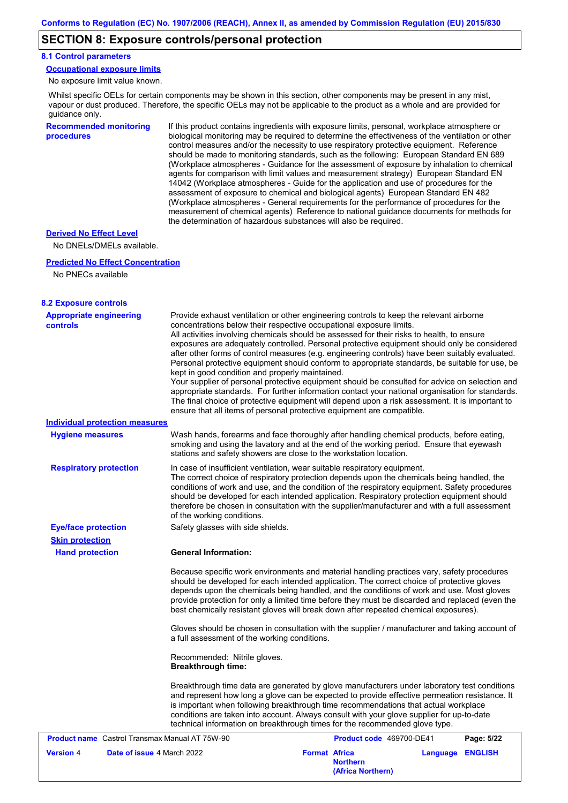## **SECTION 8: Exposure controls/personal protection**

#### **8.1 Control parameters**

**Occupational exposure limits**

No exposure limit value known.

Whilst specific OELs for certain components may be shown in this section, other components may be present in any mist, vapour or dust produced. Therefore, the specific OELs may not be applicable to the product as a whole and are provided for guidance only.

**Recommended monitoring procedures** If this product contains ingredients with exposure limits, personal, workplace atmosphere or biological monitoring may be required to determine the effectiveness of the ventilation or other control measures and/or the necessity to use respiratory protective equipment. Reference should be made to monitoring standards, such as the following: European Standard EN 689 (Workplace atmospheres - Guidance for the assessment of exposure by inhalation to chemical agents for comparison with limit values and measurement strategy) European Standard EN 14042 (Workplace atmospheres - Guide for the application and use of procedures for the assessment of exposure to chemical and biological agents) European Standard EN 482 (Workplace atmospheres - General requirements for the performance of procedures for the measurement of chemical agents) Reference to national guidance documents for methods for the determination of hazardous substances will also be required.

#### **Derived No Effect Level**

No DNELs/DMELs available.

#### **Predicted No Effect Concentration**

No PNECs available

| <b>8.2 Exposure controls</b>                                                        |                                                                                                                                                                                                                                                                                                                                                                                                                                                                                                                                                                                                                                                                                                                                                                                                                                                                                                                                                                                                         |                                      |                  |
|-------------------------------------------------------------------------------------|---------------------------------------------------------------------------------------------------------------------------------------------------------------------------------------------------------------------------------------------------------------------------------------------------------------------------------------------------------------------------------------------------------------------------------------------------------------------------------------------------------------------------------------------------------------------------------------------------------------------------------------------------------------------------------------------------------------------------------------------------------------------------------------------------------------------------------------------------------------------------------------------------------------------------------------------------------------------------------------------------------|--------------------------------------|------------------|
| <b>Appropriate engineering</b><br><b>controls</b><br>Individual protection measures | Provide exhaust ventilation or other engineering controls to keep the relevant airborne<br>concentrations below their respective occupational exposure limits.<br>All activities involving chemicals should be assessed for their risks to health, to ensure<br>exposures are adequately controlled. Personal protective equipment should only be considered<br>after other forms of control measures (e.g. engineering controls) have been suitably evaluated.<br>Personal protective equipment should conform to appropriate standards, be suitable for use, be<br>kept in good condition and properly maintained.<br>Your supplier of personal protective equipment should be consulted for advice on selection and<br>appropriate standards. For further information contact your national organisation for standards.<br>The final choice of protective equipment will depend upon a risk assessment. It is important to<br>ensure that all items of personal protective equipment are compatible. |                                      |                  |
| <b>Hygiene measures</b>                                                             | Wash hands, forearms and face thoroughly after handling chemical products, before eating,                                                                                                                                                                                                                                                                                                                                                                                                                                                                                                                                                                                                                                                                                                                                                                                                                                                                                                               |                                      |                  |
|                                                                                     | smoking and using the lavatory and at the end of the working period. Ensure that eyewash<br>stations and safety showers are close to the workstation location.                                                                                                                                                                                                                                                                                                                                                                                                                                                                                                                                                                                                                                                                                                                                                                                                                                          |                                      |                  |
| <b>Respiratory protection</b>                                                       | In case of insufficient ventilation, wear suitable respiratory equipment.<br>The correct choice of respiratory protection depends upon the chemicals being handled, the<br>conditions of work and use, and the condition of the respiratory equipment. Safety procedures<br>should be developed for each intended application. Respiratory protection equipment should<br>therefore be chosen in consultation with the supplier/manufacturer and with a full assessment<br>of the working conditions.                                                                                                                                                                                                                                                                                                                                                                                                                                                                                                   |                                      |                  |
| <b>Eye/face protection</b>                                                          | Safety glasses with side shields.                                                                                                                                                                                                                                                                                                                                                                                                                                                                                                                                                                                                                                                                                                                                                                                                                                                                                                                                                                       |                                      |                  |
| <b>Skin protection</b>                                                              |                                                                                                                                                                                                                                                                                                                                                                                                                                                                                                                                                                                                                                                                                                                                                                                                                                                                                                                                                                                                         |                                      |                  |
| <b>Hand protection</b>                                                              | <b>General Information:</b>                                                                                                                                                                                                                                                                                                                                                                                                                                                                                                                                                                                                                                                                                                                                                                                                                                                                                                                                                                             |                                      |                  |
|                                                                                     | Because specific work environments and material handling practices vary, safety procedures<br>should be developed for each intended application. The correct choice of protective gloves<br>depends upon the chemicals being handled, and the conditions of work and use. Most gloves<br>provide protection for only a limited time before they must be discarded and replaced (even the<br>best chemically resistant gloves will break down after repeated chemical exposures).                                                                                                                                                                                                                                                                                                                                                                                                                                                                                                                        |                                      |                  |
|                                                                                     | Gloves should be chosen in consultation with the supplier / manufacturer and taking account of<br>a full assessment of the working conditions.                                                                                                                                                                                                                                                                                                                                                                                                                                                                                                                                                                                                                                                                                                                                                                                                                                                          |                                      |                  |
|                                                                                     | Recommended: Nitrile gloves.<br><b>Breakthrough time:</b>                                                                                                                                                                                                                                                                                                                                                                                                                                                                                                                                                                                                                                                                                                                                                                                                                                                                                                                                               |                                      |                  |
|                                                                                     | Breakthrough time data are generated by glove manufacturers under laboratory test conditions<br>and represent how long a glove can be expected to provide effective permeation resistance. It<br>is important when following breakthrough time recommendations that actual workplace<br>conditions are taken into account. Always consult with your glove supplier for up-to-date<br>technical information on breakthrough times for the recommended glove type.                                                                                                                                                                                                                                                                                                                                                                                                                                                                                                                                        |                                      |                  |
| <b>Product name</b> Castrol Transmax Manual AT 75W-90                               |                                                                                                                                                                                                                                                                                                                                                                                                                                                                                                                                                                                                                                                                                                                                                                                                                                                                                                                                                                                                         | Product code 469700-DE41             | Page: 5/22       |
| <b>Version 4</b><br>Date of issue 4 March 2022                                      | <b>Format Africa</b>                                                                                                                                                                                                                                                                                                                                                                                                                                                                                                                                                                                                                                                                                                                                                                                                                                                                                                                                                                                    | <b>Northern</b><br>(Africa Northern) | Language ENGLISH |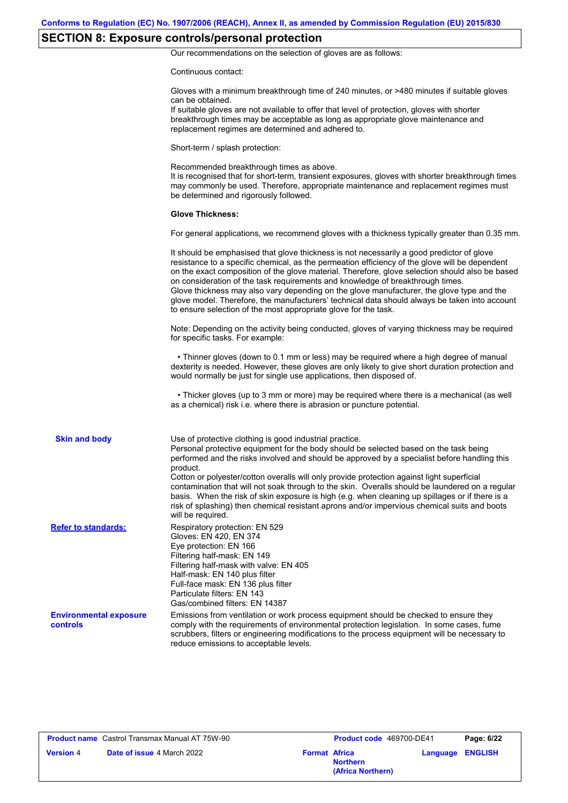# **SECTION 8: Exposure controls/personal protection**

Our recommendations on the selection of gloves are as follows:

Continuous contact:

|                                           | Gloves with a minimum breakthrough time of 240 minutes, or >480 minutes if suitable gloves<br>can be obtained.<br>If suitable gloves are not available to offer that level of protection, gloves with shorter<br>breakthrough times may be acceptable as long as appropriate glove maintenance and<br>replacement regimes are determined and adhered to.                                                                                                                                                                                                                                                                                                                              |
|-------------------------------------------|---------------------------------------------------------------------------------------------------------------------------------------------------------------------------------------------------------------------------------------------------------------------------------------------------------------------------------------------------------------------------------------------------------------------------------------------------------------------------------------------------------------------------------------------------------------------------------------------------------------------------------------------------------------------------------------|
|                                           | Short-term / splash protection:                                                                                                                                                                                                                                                                                                                                                                                                                                                                                                                                                                                                                                                       |
|                                           | Recommended breakthrough times as above.<br>It is recognised that for short-term, transient exposures, gloves with shorter breakthrough times<br>may commonly be used. Therefore, appropriate maintenance and replacement regimes must<br>be determined and rigorously followed.                                                                                                                                                                                                                                                                                                                                                                                                      |
|                                           | <b>Glove Thickness:</b>                                                                                                                                                                                                                                                                                                                                                                                                                                                                                                                                                                                                                                                               |
|                                           | For general applications, we recommend gloves with a thickness typically greater than 0.35 mm.                                                                                                                                                                                                                                                                                                                                                                                                                                                                                                                                                                                        |
|                                           | It should be emphasised that glove thickness is not necessarily a good predictor of glove<br>resistance to a specific chemical, as the permeation efficiency of the glove will be dependent<br>on the exact composition of the glove material. Therefore, glove selection should also be based<br>on consideration of the task requirements and knowledge of breakthrough times.<br>Glove thickness may also vary depending on the glove manufacturer, the glove type and the<br>glove model. Therefore, the manufacturers' technical data should always be taken into account<br>to ensure selection of the most appropriate glove for the task.                                     |
|                                           | Note: Depending on the activity being conducted, gloves of varying thickness may be required<br>for specific tasks. For example:                                                                                                                                                                                                                                                                                                                                                                                                                                                                                                                                                      |
|                                           | • Thinner gloves (down to 0.1 mm or less) may be required where a high degree of manual<br>dexterity is needed. However, these gloves are only likely to give short duration protection and<br>would normally be just for single use applications, then disposed of.                                                                                                                                                                                                                                                                                                                                                                                                                  |
|                                           | • Thicker gloves (up to 3 mm or more) may be required where there is a mechanical (as well<br>as a chemical) risk i.e. where there is abrasion or puncture potential.                                                                                                                                                                                                                                                                                                                                                                                                                                                                                                                 |
| <b>Skin and body</b>                      | Use of protective clothing is good industrial practice.<br>Personal protective equipment for the body should be selected based on the task being<br>performed and the risks involved and should be approved by a specialist before handling this<br>product.<br>Cotton or polyester/cotton overalls will only provide protection against light superficial<br>contamination that will not soak through to the skin. Overalls should be laundered on a regular<br>basis. When the risk of skin exposure is high (e.g. when cleaning up spillages or if there is a<br>risk of splashing) then chemical resistant aprons and/or impervious chemical suits and boots<br>will be required. |
| <b>Refer to standards:</b>                | Respiratory protection: EN 529<br>Gloves: EN 420, EN 374<br>Eye protection: EN 166<br>Filtering half-mask: EN 149<br>Filtering half-mask with valve: EN 405<br>Half-mask: EN 140 plus filter<br>Full-face mask: EN 136 plus filter<br>Particulate filters: EN 143<br>Gas/combined filters: EN 14387                                                                                                                                                                                                                                                                                                                                                                                   |
| <b>Environmental exposure</b><br>controls | Emissions from ventilation or work process equipment should be checked to ensure they<br>comply with the requirements of environmental protection legislation. In some cases, fume<br>scrubbers, filters or engineering modifications to the process equipment will be necessary to<br>reduce emissions to acceptable levels.                                                                                                                                                                                                                                                                                                                                                         |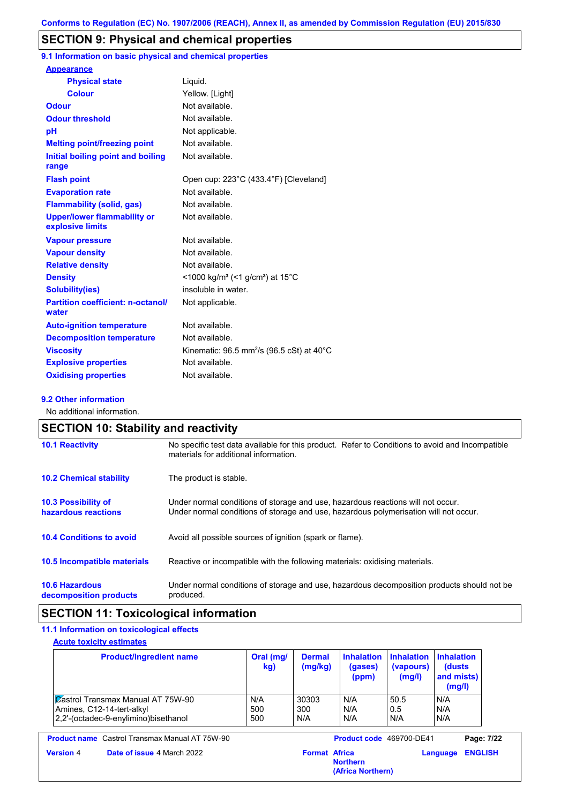# **SECTION 9: Physical and chemical properties**

**9.1 Information on basic physical and chemical properties**

| <b>Appearance</b>                                      |                                                                      |
|--------------------------------------------------------|----------------------------------------------------------------------|
| <b>Physical state</b>                                  | Liquid.                                                              |
| <b>Colour</b>                                          | Yellow. [Light]                                                      |
| <b>Odour</b>                                           | Not available.                                                       |
| <b>Odour threshold</b>                                 | Not available.                                                       |
| pH                                                     | Not applicable.                                                      |
| <b>Melting point/freezing point</b>                    | Not available.                                                       |
| Initial boiling point and boiling<br>range             | Not available.                                                       |
| <b>Flash point</b>                                     | Open cup: 223°C (433.4°F) [Cleveland]                                |
| <b>Evaporation rate</b>                                | Not available.                                                       |
| <b>Flammability (solid, gas)</b>                       | Not available.                                                       |
| <b>Upper/lower flammability or</b><br>explosive limits | Not available.                                                       |
| <b>Vapour pressure</b>                                 | Not available.                                                       |
| <b>Vapour density</b>                                  | Not available.                                                       |
| <b>Relative density</b>                                | Not available.                                                       |
| <b>Density</b>                                         | <1000 kg/m <sup>3</sup> (<1 g/cm <sup>3</sup> ) at 15 <sup>°</sup> C |
| <b>Solubility(ies)</b>                                 | insoluble in water.                                                  |
| <b>Partition coefficient: n-octanol/</b><br>water      | Not applicable.                                                      |
| <b>Auto-ignition temperature</b>                       | Not available.                                                       |
| <b>Decomposition temperature</b>                       | Not available.                                                       |
| <b>Viscosity</b>                                       | Kinematic: $96.5$ mm <sup>2</sup> /s ( $96.5$ cSt) at $40^{\circ}$ C |
| <b>Explosive properties</b>                            | Not available.                                                       |
| <b>Oxidising properties</b>                            | Not available.                                                       |
|                                                        |                                                                      |

#### **9.2 Other information**

No additional information.

|                                                   | <b>SECTION 10: Stability and reactivity</b>                                                                                                                             |  |  |  |
|---------------------------------------------------|-------------------------------------------------------------------------------------------------------------------------------------------------------------------------|--|--|--|
| <b>10.1 Reactivity</b>                            | No specific test data available for this product. Refer to Conditions to avoid and Incompatible<br>materials for additional information.                                |  |  |  |
| <b>10.2 Chemical stability</b>                    | The product is stable.                                                                                                                                                  |  |  |  |
| <b>10.3 Possibility of</b><br>hazardous reactions | Under normal conditions of storage and use, hazardous reactions will not occur.<br>Under normal conditions of storage and use, hazardous polymerisation will not occur. |  |  |  |
| <b>10.4 Conditions to avoid</b>                   | Avoid all possible sources of ignition (spark or flame).                                                                                                                |  |  |  |
| 10.5 Incompatible materials                       | Reactive or incompatible with the following materials: oxidising materials.                                                                                             |  |  |  |
| <b>10.6 Hazardous</b><br>decomposition products   | Under normal conditions of storage and use, hazardous decomposition products should not be<br>produced.                                                                 |  |  |  |

# **SECTION 11: Toxicological information**

## **11.1 Information on toxicological effects**

| <b>Product/ingredient name</b>           | Oral (mg/<br>kg) | <b>Dermal</b><br>(mg/kg) | <b>Inhalation</b><br>(gases)<br>(ppm) | <b>Inhalation</b><br>(vapours)<br>(mg/l) | <b>Inhalation</b><br>(dusts)<br>and mists)<br>(mg/l) |
|------------------------------------------|------------------|--------------------------|---------------------------------------|------------------------------------------|------------------------------------------------------|
| <b>Zastrol Transmax Manual AT 75W-90</b> | N/A              | 30303                    | N/A                                   | 50.5                                     | N/A                                                  |
| Amines, C12-14-tert-alkyl                | 500              | 300                      | N/A                                   | 0.5                                      | N/A                                                  |
| 2.2'-(octadec-9-enylimino)bisethanol     | 500              | N/A                      | N/A                                   | N/A                                      | N/A                                                  |

**Product name** Castrol Transmax Manual AT 75W-90 **Product code** 469700-DE41 **Page: 7/22**

| <b>Date of issue 4 March 20</b> |
|---------------------------------|
|                                 |

**Language ENGLISH**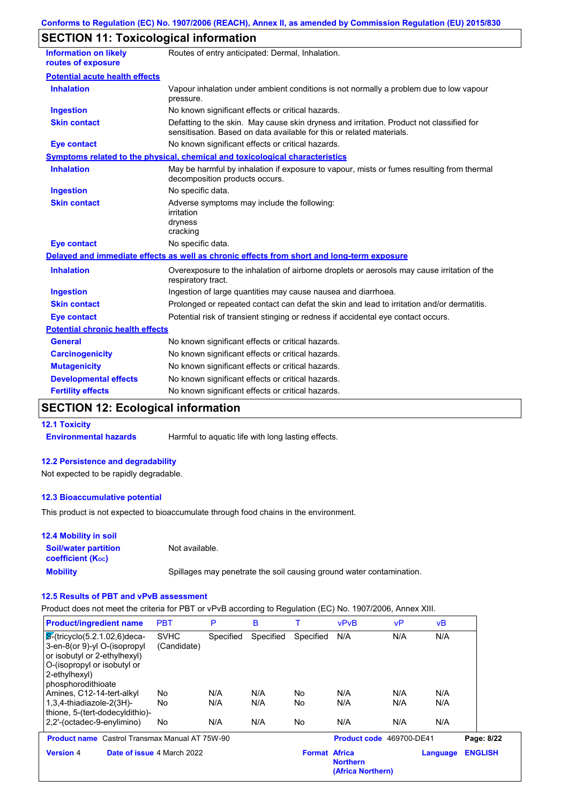# **SECTION 11: Toxicological information**

| <b>Information on likely</b><br>routes of exposure | Routes of entry anticipated: Dermal, Inhalation.                                                                                                                  |
|----------------------------------------------------|-------------------------------------------------------------------------------------------------------------------------------------------------------------------|
| <b>Potential acute health effects</b>              |                                                                                                                                                                   |
| <b>Inhalation</b>                                  | Vapour inhalation under ambient conditions is not normally a problem due to low vapour<br>pressure.                                                               |
| <b>Ingestion</b>                                   | No known significant effects or critical hazards.                                                                                                                 |
| <b>Skin contact</b>                                | Defatting to the skin. May cause skin dryness and irritation. Product not classified for<br>sensitisation. Based on data available for this or related materials. |
| <b>Eye contact</b>                                 | No known significant effects or critical hazards.                                                                                                                 |
|                                                    | <b>Symptoms related to the physical, chemical and toxicological characteristics</b>                                                                               |
| <b>Inhalation</b>                                  | May be harmful by inhalation if exposure to vapour, mists or fumes resulting from thermal<br>decomposition products occurs.                                       |
| <b>Ingestion</b>                                   | No specific data.                                                                                                                                                 |
| <b>Skin contact</b>                                | Adverse symptoms may include the following:<br>irritation<br>dryness<br>cracking                                                                                  |
| <b>Eye contact</b>                                 | No specific data.                                                                                                                                                 |
|                                                    | Delayed and immediate effects as well as chronic effects from short and long-term exposure                                                                        |
| <b>Inhalation</b>                                  | Overexposure to the inhalation of airborne droplets or aerosols may cause irritation of the<br>respiratory tract.                                                 |
| <b>Ingestion</b>                                   | Ingestion of large quantities may cause nausea and diarrhoea.                                                                                                     |
| <b>Skin contact</b>                                | Prolonged or repeated contact can defat the skin and lead to irritation and/or dermatitis.                                                                        |
| <b>Eye contact</b>                                 | Potential risk of transient stinging or redness if accidental eye contact occurs.                                                                                 |
| <b>Potential chronic health effects</b>            |                                                                                                                                                                   |
| <b>General</b>                                     | No known significant effects or critical hazards.                                                                                                                 |
| <b>Carcinogenicity</b>                             | No known significant effects or critical hazards.                                                                                                                 |
| <b>Mutagenicity</b>                                | No known significant effects or critical hazards.                                                                                                                 |
| <b>Developmental effects</b>                       | No known significant effects or critical hazards.                                                                                                                 |
| <b>Fertility effects</b>                           | No known significant effects or critical hazards.                                                                                                                 |

# **SECTION 12: Ecological information**

#### **12.1 Toxicity**

**Environmental hazards** Harmful to aquatic life with long lasting effects.

#### **12.2 Persistence and degradability**

Not expected to be rapidly degradable.

#### **12.3 Bioaccumulative potential**

This product is not expected to bioaccumulate through food chains in the environment.

#### **Mobility** Spillages may penetrate the soil causing ground water contamination. **12.4 Mobility in soil Soil/water partition coefficient (Koc)** Not available.

#### **12.5 Results of PBT and vPvB assessment**

Product does not meet the criteria for PBT or vPvB according to Regulation (EC) No. 1907/2006, Annex XIII.

| <b>Product/ingredient name</b>                                                                                                                                        | <b>PBT</b>                 | P          | в          |                      | <b>vPvB</b>                          | vP         | νB         |                |
|-----------------------------------------------------------------------------------------------------------------------------------------------------------------------|----------------------------|------------|------------|----------------------|--------------------------------------|------------|------------|----------------|
| $S$ -(tricyclo(5.2.1.02,6)deca-<br>3-en-8(or 9)-yl O-(isopropyl<br>or isobutyl or 2-ethylhexyl)<br>O-(isopropyl or isobutyl or<br>2-ethylhexyl)<br>phosphorodithioate | <b>SVHC</b><br>(Candidate) | Specified  | Specified  | Specified            | N/A                                  | N/A        | N/A        |                |
| Amines, C12-14-tert-alkyl<br>1,3,4-thiadiazole-2(3H)-<br>thione, 5-(tert-dodecyldithio)-                                                                              | No.<br>No                  | N/A<br>N/A | N/A<br>N/A | No<br>No             | N/A<br>N/A                           | N/A<br>N/A | N/A<br>N/A |                |
| 2,2'-(octadec-9-enylimino)                                                                                                                                            | No                         | N/A        | N/A        | No                   | N/A                                  | N/A        | N/A        |                |
| <b>Product name</b> Castrol Transmax Manual AT 75W-90                                                                                                                 |                            |            |            |                      | Product code 469700-DE41             |            |            | Page: 8/22     |
| <b>Version 4</b>                                                                                                                                                      | Date of issue 4 March 2022 |            |            | <b>Format Africa</b> | <b>Northern</b><br>(Africa Northern) |            | Language   | <b>ENGLISH</b> |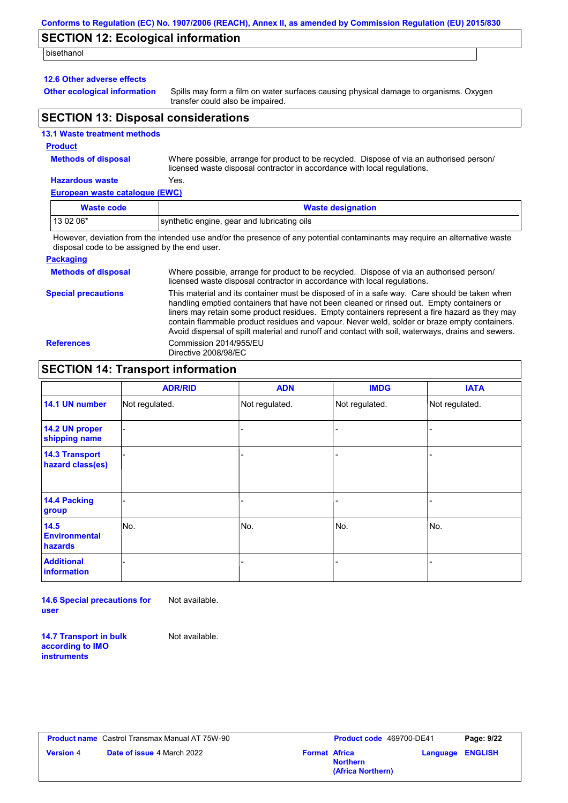# **SECTION 12: Ecological information**

bisethanol

#### **12.6 Other adverse effects**

**Other ecological information**

Spills may form a film on water surfaces causing physical damage to organisms. Oxygen transfer could also be impaired.

## **SECTION 13: Disposal considerations**

| <b>13.1 Waste treatment methods</b> |  |
|-------------------------------------|--|
| <b>Product</b>                      |  |

## **Methods of disposal**

Where possible, arrange for product to be recycled. Dispose of via an authorised person/ licensed waste disposal contractor in accordance with local regulations.

### **Hazardous waste** Yes.

#### **European waste catalogue (EWC)**

| <b>Waste code</b> | <b>Waste designation</b>                    |
|-------------------|---------------------------------------------|
| 13 02 06*         | synthetic engine, gear and lubricating oils |

However, deviation from the intended use and/or the presence of any potential contaminants may require an alternative waste disposal code to be assigned by the end user.

#### **Packaging**

| <b>Methods of disposal</b> | Where possible, arrange for product to be recycled. Dispose of via an authorised person/<br>licensed waste disposal contractor in accordance with local regulations.                                                                                                                                                                                                                                                                                                                            |
|----------------------------|-------------------------------------------------------------------------------------------------------------------------------------------------------------------------------------------------------------------------------------------------------------------------------------------------------------------------------------------------------------------------------------------------------------------------------------------------------------------------------------------------|
| <b>Special precautions</b> | This material and its container must be disposed of in a safe way. Care should be taken when<br>handling emptied containers that have not been cleaned or rinsed out. Empty containers or<br>liners may retain some product residues. Empty containers represent a fire hazard as they may<br>contain flammable product residues and vapour. Never weld, solder or braze empty containers.<br>Avoid dispersal of spilt material and runoff and contact with soil, waterways, drains and sewers. |
| <b>References</b>          | Commission 2014/955/EU<br>Directive 2008/98/EC                                                                                                                                                                                                                                                                                                                                                                                                                                                  |

# **SECTION 14: Transport information**

|                                           | <b>ADR/RID</b> | <b>ADN</b>     | <b>IMDG</b>    | <b>IATA</b>    |
|-------------------------------------------|----------------|----------------|----------------|----------------|
| 14.1 UN number                            | Not regulated. | Not regulated. | Not regulated. | Not regulated. |
| 14.2 UN proper<br>shipping name           |                |                |                |                |
| <b>14.3 Transport</b><br>hazard class(es) |                |                | -              |                |
| 14.4 Packing<br>group                     |                |                | $\blacksquare$ |                |
| 14.5<br><b>Environmental</b><br>hazards   | No.            | No.            | No.            | No.            |
| <b>Additional</b><br>information          |                |                | -              |                |

**14.6 Special precautions for user** Not available.

**14.7 Transport in bulk according to IMO instruments**

Not available.

|                  | <b>Product name</b> Castrol Transmax Manual AT 75W-90 |                      | <b>Product co</b> |
|------------------|-------------------------------------------------------|----------------------|-------------------|
| <b>Version</b> 4 | <b>Date of issue 4 March 2022</b>                     | <b>Format Africa</b> |                   |

| Castrol Transmax Manual AT 75W-90 |                      | <b>Product code</b> 469700-DE41      |                         | Page: 9/22 |
|-----------------------------------|----------------------|--------------------------------------|-------------------------|------------|
| <b>Date of issue 4 March 2022</b> | <b>Format Africa</b> | <b>Northern</b><br>(Africa Northern) | <b>Language ENGLISH</b> |            |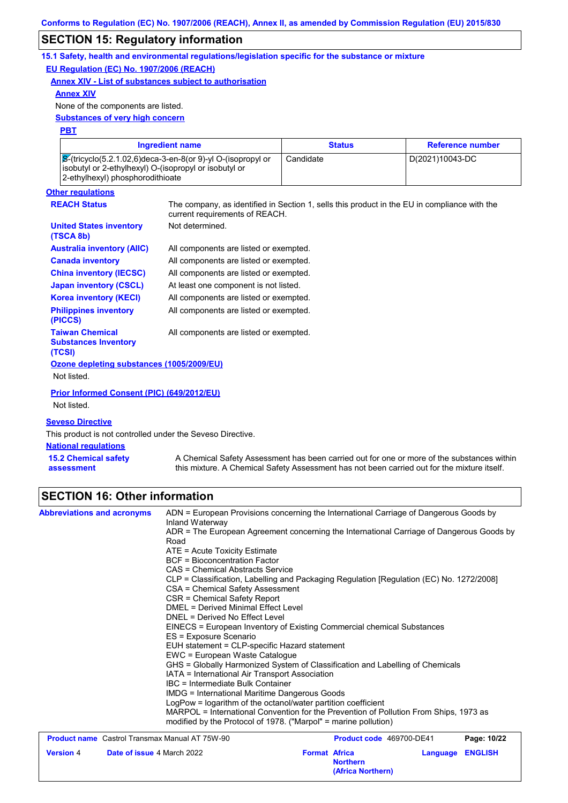## **SECTION 15: Regulatory information**

**15.1 Safety, health and environmental regulations/legislation specific for the substance or mixture EU Regulation (EC) No. 1907/2006 (REACH)**

**Annex XIV - List of substances subject to authorisation**

#### **Annex XIV**

None of the components are listed.

**Substances of very high concern**

#### **PBT**

| Ingredient name                                                                                                                                                    | <b>Status</b> | <b>Reference number</b> |
|--------------------------------------------------------------------------------------------------------------------------------------------------------------------|---------------|-------------------------|
| $\sqrt{8}$ -(tricyclo(5.2.1.02.6)deca-3-en-8(or 9)-yl O-(isopropyl or<br>isobutyl or 2-ethylhexyl) O-(isopropyl or isobutyl or<br>2-ethylhexyl) phosphorodithioate | Candidate     | D(2021)10043-DC         |

# **Other regulations**

**(TSCA 8b)**

**United States inventory** 

**REACH Status** The company, as identified in Section 1, sells this product in the EU in compliance with the current requirements of REACH. All components are listed or exempted. Not determined.

| <b>Australia inventory (AIIC)</b>                     | All components are listed or exempted. |
|-------------------------------------------------------|----------------------------------------|
| <b>Canada inventory</b>                               | All components are listed or exempted. |
| <b>China inventory (IECSC)</b>                        | All components are listed or exempted. |
| <b>Japan inventory (CSCL)</b>                         | At least one component is not listed.  |
| <b>Korea inventory (KECI)</b>                         | All components are listed or exempted. |
| <b>Philippines inventory</b><br>(PICCS)               | All components are listed or exempted. |
| <b>Taiwan Chemical</b><br><b>Substances Inventory</b> | All components are listed or exempted. |

### **(TCSI) Ozone depleting substances (1005/2009/EU)**

Not listed.

**Prior Informed Consent (PIC) (649/2012/EU)** Not listed.

#### **Seveso Directive**

This product is not controlled under the Seveso Directive.

#### **National regulations**

**15.2 Chemical safety assessment** A Chemical Safety Assessment has been carried out for one or more of the substances within this mixture. A Chemical Safety Assessment has not been carried out for the mixture itself.

# **SECTION 16: Other information**

| <b>Abbreviations and acronyms</b>                     | ADN = European Provisions concerning the International Carriage of Dangerous Goods by<br>Inland Waterway |                                                              |          |                |
|-------------------------------------------------------|----------------------------------------------------------------------------------------------------------|--------------------------------------------------------------|----------|----------------|
|                                                       | ADR = The European Agreement concerning the International Carriage of Dangerous Goods by<br>Road         |                                                              |          |                |
|                                                       | ATE = Acute Toxicity Estimate                                                                            |                                                              |          |                |
|                                                       | <b>BCF</b> = Bioconcentration Factor                                                                     |                                                              |          |                |
|                                                       | CAS = Chemical Abstracts Service                                                                         |                                                              |          |                |
|                                                       | CLP = Classification, Labelling and Packaging Regulation [Regulation (EC) No. 1272/2008]                 |                                                              |          |                |
|                                                       | CSA = Chemical Safety Assessment                                                                         |                                                              |          |                |
|                                                       | CSR = Chemical Safety Report                                                                             |                                                              |          |                |
|                                                       | <b>DMEL = Derived Minimal Effect Level</b>                                                               |                                                              |          |                |
|                                                       | DNEL = Derived No Effect Level                                                                           |                                                              |          |                |
|                                                       | EINECS = European Inventory of Existing Commercial chemical Substances                                   |                                                              |          |                |
|                                                       | ES = Exposure Scenario                                                                                   |                                                              |          |                |
|                                                       | EUH statement = CLP-specific Hazard statement<br>EWC = European Waste Catalogue                          |                                                              |          |                |
|                                                       | GHS = Globally Harmonized System of Classification and Labelling of Chemicals                            |                                                              |          |                |
|                                                       | IATA = International Air Transport Association                                                           |                                                              |          |                |
|                                                       | IBC = Intermediate Bulk Container                                                                        |                                                              |          |                |
|                                                       | <b>IMDG</b> = International Maritime Dangerous Goods                                                     |                                                              |          |                |
|                                                       | LogPow = logarithm of the octanol/water partition coefficient                                            |                                                              |          |                |
|                                                       | MARPOL = International Convention for the Prevention of Pollution From Ships, 1973 as                    |                                                              |          |                |
|                                                       | modified by the Protocol of 1978. ("Marpol" = marine pollution)                                          |                                                              |          |                |
| <b>Product name</b> Castrol Transmax Manual AT 75W-90 |                                                                                                          | Product code 469700-DE41                                     |          | Page: 10/22    |
| <b>Version 4</b><br>Date of issue 4 March 2022        |                                                                                                          | <b>Format Africa</b><br><b>Northern</b><br>(Africa Northern) | Language | <b>ENGLISH</b> |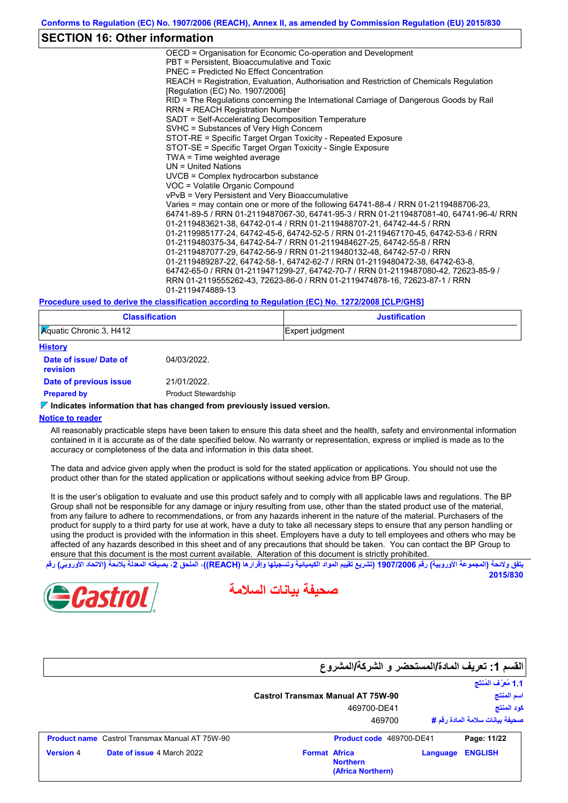## **SECTION 16: Other information**

OECD = Organisation for Economic Co-operation and Development PBT = Persistent, Bioaccumulative and Toxic PNEC = Predicted No Effect Concentration REACH = Registration, Evaluation, Authorisation and Restriction of Chemicals Regulation [Regulation (EC) No. 1907/2006] RID = The Regulations concerning the International Carriage of Dangerous Goods by Rail RRN = REACH Registration Number SADT = Self-Accelerating Decomposition Temperature SVHC = Substances of Very High Concern STOT-RE = Specific Target Organ Toxicity - Repeated Exposure STOT-SE = Specific Target Organ Toxicity - Single Exposure TWA = Time weighted average UN = United Nations UVCB = Complex hydrocarbon substance VOC = Volatile Organic Compound vPvB = Very Persistent and Very Bioaccumulative Varies = may contain one or more of the following 64741-88-4 / RRN 01-2119488706-23, 64741-89-5 / RRN 01-2119487067-30, 64741-95-3 / RRN 01-2119487081-40, 64741-96-4/ RRN 01-2119483621-38, 64742-01-4 / RRN 01-2119488707-21, 64742-44-5 / RRN 01-2119985177-24, 64742-45-6, 64742-52-5 / RRN 01-2119467170-45, 64742-53-6 / RRN 01-2119480375-34, 64742-54-7 / RRN 01-2119484627-25, 64742-55-8 / RRN 01-2119487077-29, 64742-56-9 / RRN 01-2119480132-48, 64742-57-0 / RRN 01-2119489287-22, 64742-58-1, 64742-62-7 / RRN 01-2119480472-38, 64742-63-8, 64742-65-0 / RRN 01-2119471299-27, 64742-70-7 / RRN 01-2119487080-42, 72623-85-9 / RRN 01-2119555262-43, 72623-86-0 / RRN 01-2119474878-16, 72623-87-1 / RRN 01-2119474889-13

#### **Procedure used to derive the classification according to Regulation (EC) No. 1272/2008 [CLP/GHS]**

| <b>Classification</b>          | <b>Justification</b> |
|--------------------------------|----------------------|
| <b>Aguatic Chronic 3, H412</b> | Expert judgment      |

| <b>History</b>                    |                            |
|-----------------------------------|----------------------------|
| Date of issue/Date of<br>revision | 04/03/2022.                |
| Date of previous issue            | 21/01/2022.                |
| <b>Prepared by</b>                | <b>Product Stewardship</b> |

#### **Indicates information that has changed from previously issued version.**

#### **Notice to reader**

All reasonably practicable steps have been taken to ensure this data sheet and the health, safety and environmental information contained in it is accurate as of the date specified below. No warranty or representation, express or implied is made as to the accuracy or completeness of the data and information in this data sheet.

The data and advice given apply when the product is sold for the stated application or applications. You should not use the product other than for the stated application or applications without seeking advice from BP Group.

It is the user's obligation to evaluate and use this product safely and to comply with all applicable laws and regulations. The BP Group shall not be responsible for any damage or injury resulting from use, other than the stated product use of the material, from any failure to adhere to recommendations, or from any hazards inherent in the nature of the material. Purchasers of the product for supply to a third party for use at work, have a duty to take all necessary steps to ensure that any person handling or using the product is provided with the information in this sheet. Employers have a duty to tell employees and others who may be affected of any hazards described in this sheet and of any precautions that should be taken. You can contact the BP Group to ensure that this document is the most current available. Alteration of this document is strictly prohibited.

يتفق ولائحة (المجموعة الأوروبية) رقم 1907/2006 (تشريع تقييم المواد الكيميائية وتسجيلها وإقرار**ها (REACH)، الملحق 2، بصيغته المعدلة ب**لائحة (الاتحاد الأوروبي) رقم **2015/830**



**صحیفة بیانات السلامة**

|                                                       | القسم 1: تعريف المادة/المستحضر و الشركة/المشروع              |          |                                  |
|-------------------------------------------------------|--------------------------------------------------------------|----------|----------------------------------|
|                                                       |                                                              |          | 1.1 مُعرَّف المُنتَج             |
|                                                       | <b>Castrol Transmax Manual AT 75W-90</b>                     |          | اسم المنتج                       |
|                                                       | 469700-DE41                                                  |          | كود المنتج                       |
|                                                       | 469700                                                       |          | صحيفة بيانات سلامة المادة رفَم # |
| <b>Product name</b> Castrol Transmax Manual AT 75W-90 | Product code 469700-DE41                                     |          | Page: 11/22                      |
| Date of issue 4 March 2022<br><b>Version 4</b>        | <b>Format Africa</b><br><b>Northern</b><br>(Africa Northern) | Language | <b>ENGLISH</b>                   |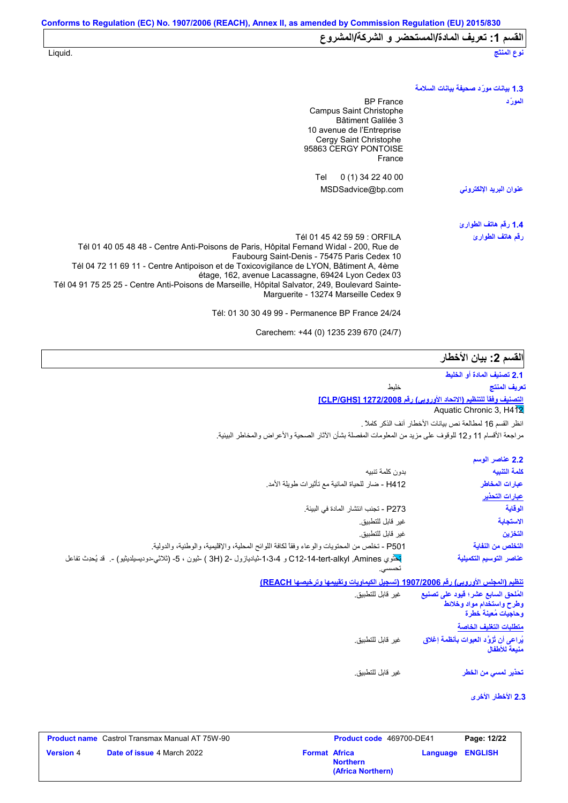| نوع المنتَج                           | Liquid.                                                                                                                                                                                                                                                                                                                                                                                                                                                                                                                                                      |  |
|---------------------------------------|--------------------------------------------------------------------------------------------------------------------------------------------------------------------------------------------------------------------------------------------------------------------------------------------------------------------------------------------------------------------------------------------------------------------------------------------------------------------------------------------------------------------------------------------------------------|--|
| 1.3 بيانات مورّد صحيفة بيانات السلامة |                                                                                                                                                                                                                                                                                                                                                                                                                                                                                                                                                              |  |
| المورد                                | <b>BP</b> France<br>Campus Saint Christophe<br>Bâtiment Galilée 3<br>10 avenue de l'Entreprise<br>Cergy Saint Christophe<br>95863 CERGY PONTOISE<br>France                                                                                                                                                                                                                                                                                                                                                                                                   |  |
| عنوان البريد الإلكتروني               | 0 (1) 34 22 40 00<br>Tel<br>MSDSadvice@bp.com                                                                                                                                                                                                                                                                                                                                                                                                                                                                                                                |  |
| 1.4 رقم هاتف الطوارئ                  |                                                                                                                                                                                                                                                                                                                                                                                                                                                                                                                                                              |  |
| رقم هاتف الطوارئ                      | Tél 01 45 42 59 59 : ORFILA<br>Tél 01 40 05 48 48 - Centre Anti-Poisons de Paris, Hôpital Fernand Widal - 200, Rue de<br>Faubourg Saint-Denis - 75475 Paris Cedex 10<br>Tél 04 72 11 69 11 - Centre Antipoison et de Toxicovigilance de LYON, Bâtiment A, 4ème<br>étage, 162, avenue Lacassagne, 69424 Lyon Cedex 03<br>Tél 04 91 75 25 25 - Centre Anti-Poisons de Marseille, Hôpital Salvator, 249, Boulevard Sainte-<br>Marguerite - 13274 Marseille Cedex 9<br>Tél: 01 30 30 49 99 - Permanence BP France 24/24<br>Carechem: +44 (0) 1235 239 670 (24/7) |  |
|                                       |                                                                                                                                                                                                                                                                                                                                                                                                                                                                                                                                                              |  |

| القسم 2: بيان الأخطار |  |  |  |
|-----------------------|--|--|--|
|-----------------------|--|--|--|

| تعسم ے۔ بیان الاحصار                                                                   |                                                                                                                           |
|----------------------------------------------------------------------------------------|---------------------------------------------------------------------------------------------------------------------------|
| 2.1 تصنيف المادة أو الخليط                                                             |                                                                                                                           |
| تعريف المنتج                                                                           | خلبط                                                                                                                      |
| <u>التصنيف وفقاً للتنظيم (الاتحاد الأوروبي) رفّع 272/2008 [CLP/GHS]</u>                |                                                                                                                           |
| Aquatic Chronic 3, H4 2                                                                |                                                                                                                           |
| انظر القسم 16 لمطالعة نص بيانات الأخطار آنف الذكر كاملاً .                             |                                                                                                                           |
|                                                                                        | مراجعة الأقسام 11 و12 للوقوف على مزيد من المعلومات المفصلة بشأن الأثار الصحية والأعراض والمخاطر البيئية                   |
| 2.2 عناصر الوسم                                                                        |                                                                                                                           |
| كلمة التنبيه                                                                           | بدون كلمة تنبيه                                                                                                           |
| عبارات المخاطر                                                                         | H412 - ضار للحياة المائية مع تأثيرات طويلة الأمد.                                                                         |
| عبارات التحذير                                                                         |                                                                                                                           |
| الوقاية                                                                                | P273 - تجنب انتشار المادة في البيئة.                                                                                      |
| الاستجابة                                                                              | غير قابل للتطبيق.                                                                                                         |
| التخزين                                                                                | غير قابل للتطبيق.                                                                                                         |
| التخلص من النفاية                                                                      | P501 - تخلص من المحتويات والوعاء وفقاً لكافة اللوائح المحلية، والإقليمية، والوطنية، والدولية                              |
| عناصر التوسيم التكميلية                                                                | تعثموي C12-14-tert-alkyl ,Amines و 1،3،4-شياديازول -2 (3H ) -شيون ، 5- (ثلاثى-دوديسيلديشيو) -.  قد يُحدِث تفاعل<br>تحسسى. |
|                                                                                        | تنظيم (المجلس الأوروبي) رقم 1907/2006 (تسجيل الكيماويات وتقييمها وترخيصها REACH)                                          |
| المُلحق السابع عشر؛ فيود على تصنيع<br>وطرح واستخدام مواد وخلائط<br>وحاجيات مُعينة خطرة | غير قابل للتطبيق.                                                                                                         |
| متطلبات التغليف الخاصة                                                                 |                                                                                                                           |
| يُراعى أن تُزوَّد العبوات بأنظمة إغلاق<br>منبعة للأطفال                                | غير  قابل للتطبيق.                                                                                                        |

غیر قابل للتطبیق. **تحذیر لمسي من الخطر**

**2.3 الأخطار الأخرى**

| <b>Product name</b> Castrol Transmax Manual AT 75W-90 |                      | <b>Product code</b> 469700-DE41      |                  | Page: 12/22 |  |
|-------------------------------------------------------|----------------------|--------------------------------------|------------------|-------------|--|
| <b>Version 4</b><br><b>Date of issue 4 March 2022</b> | <b>Format Africa</b> | <b>Northern</b><br>(Africa Northern) | Language ENGLISH |             |  |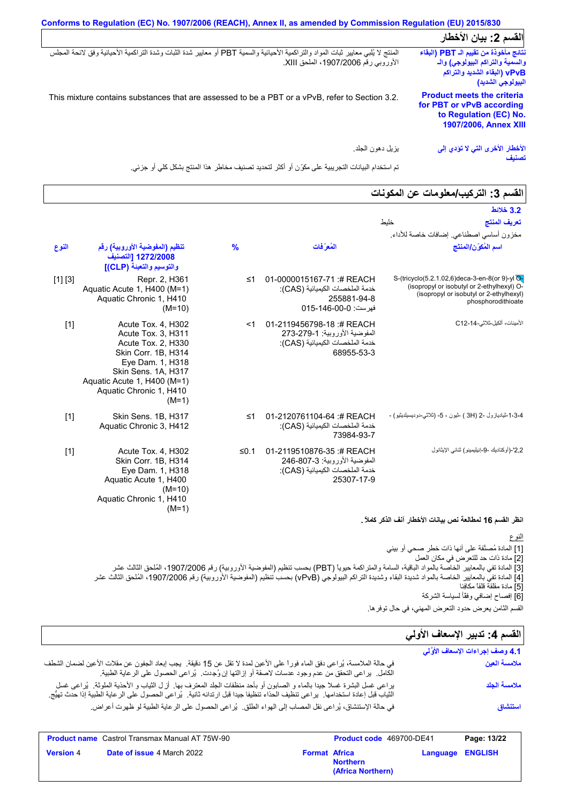|                                                                                                                                                                            | الفسم 2: بيان الأخطار                                                                                                           |
|----------------------------------------------------------------------------------------------------------------------------------------------------------------------------|---------------------------------------------------------------------------------------------------------------------------------|
| المنتج لا يُلبي معايير ثبات المواد والتراكمية الأحيائية والسمية PBT أو معايير شدة الثبات وشدة التراكمية الأحيائية وفق لانحة المجلس<br>الأوروبي رقم 1907/2006، الملحق XIII. | نتائج مأخوذة من تقييم الـ PBT (البقاء<br>والسمية والتراكم البيولوجي) والـ<br>vPvB) (البقاء الشديد والتراكم<br>البيولوجي الشديد) |
| This mixture contains substances that are assessed to be a PBT or a vPvB, refer to Section 3.2.                                                                            | <b>Product meets the criteria</b><br>for PBT or vPvB according<br>to Regulation (EC) No.<br><b>1907/2006, Annex XIII</b>        |
| يز بل دهو ن الجلد.                                                                                                                                                         | الأخطار الأخرى التي لا تؤدي إلى<br>تصنيف                                                                                        |

تم استخدام البیانات التجریبیة على مكوِّن أو أكثر لتحدید تصنیف مخاطر ھذا المنتج بشكل كلي أو جزئي.

| القسم 3: التركيب/معلومات عن المكونات                                                                                                                          |                                                                                                            |               |                                                                                                                                                                                                       |         |
|---------------------------------------------------------------------------------------------------------------------------------------------------------------|------------------------------------------------------------------------------------------------------------|---------------|-------------------------------------------------------------------------------------------------------------------------------------------------------------------------------------------------------|---------|
| 3.2 خلائط                                                                                                                                                     |                                                                                                            |               |                                                                                                                                                                                                       |         |
| خليط<br>تعريف المنتج<br>مخزون أساسي اصطناعي. إضافات خاصة للأداء.                                                                                              |                                                                                                            |               |                                                                                                                                                                                                       |         |
| اسم المُكوّن/المنتَج                                                                                                                                          | المُعرَفات                                                                                                 | $\frac{9}{6}$ | تنظيم (المفوضية الأوروبية) رقم<br>1272/2008 [التصنيف<br>والتوسيم والتعبنة (CLP)]                                                                                                                      | النوع   |
| S-(tricyclo(5.2.1.02,6)deca-3-en-8(or 9)-yl Q-<br>(isopropyl or isobutyl or 2-ethylhexyl) O-<br>(isopropyl or isobutyl or 2-ethylhexyl)<br>phosphorodithioate | 01-0000015167-71:# REACH<br>خدمة الملخصات الكيميائية (CAS):<br>255881-94-8<br>فهرست: 0-00-146-015          | ≤1            | Repr. 2, H361<br>Aquatic Acute 1, H400 (M=1)<br>Aquatic Chronic 1, H410<br>$(M=10)$                                                                                                                   | [1] [3] |
| الأمينات، ألكيل-ثلاثي-C12-14                                                                                                                                  | 01-2119456798-18 :# REACH<br>المفوضية الأوروبية: 279-273<br>خدمة الملخصات الكيميائية (CAS):<br>68955-53-3  | $<$ 1         | Acute Tox. 4, H302<br>Acute Tox. 3, H311<br>Acute Tox. 2, H330<br>Skin Corr. 1B, H314<br>Eye Dam. 1, H318<br>Skin Sens. 1A, H317<br>Aquatic Acute 1, H400 (M=1)<br>Aquatic Chronic 1, H410<br>$(M=1)$ | $[1]$   |
| 1،3،4شياديازول -2 (3H ) څيون ، 5- (ئلاثى-دوديسيلديثيو) -                                                                                                      | 01-2120761104-64 :# REACH<br>خدمة الملخصات الكيميائية (CAS):<br>73984-93-7                                 | $\leq 1$      | Skin Sens. 1B, H317<br>Aquatic Chronic 3, H412                                                                                                                                                        | $[1]$   |
| 2,2'-(أوكتاديك -9-إنيليمينو) ثنائي الإيثانول                                                                                                                  | 01-2119510876-35:# REACH<br>المفوضية الأوروبية: 3-807-246<br>خدمة الملخصات الكيميائية (CAS):<br>25307-17-9 | ≤0.1          | Acute Tox. 4, H302<br>Skin Corr. 1B, H314<br>Eye Dam. 1, H318<br>Aquatic Acute 1, H400<br>$(M=10)$<br>Aquatic Chronic 1, H410<br>$(M=1)$                                                              | $[1]$   |
| King alti italik and control that                                                                                                                             |                                                                                                            |               |                                                                                                                                                                                                       |         |

**انظر القسم 16 لمطالعة نص بیانات الأخطار آنف الذكر كاملاً .**

النوع

[1] المادة مُصنَّفة على أنھا ذات خطر صحي أو بیئي [2] مادة ذات حد للتعرض في مكان العمل [3] المادة تفي بالمعاییر الخاصة بالمواد الباقیة، السامة والمتراكمة حیویاً (PBT (بحسب تنظیم (المفوضیة الأوروبیة) رقم ،1907/2006 المُلحق الثالث عشر [4] المادة تفي بالمعاییر الخاصة بالمواد شدیدة البقاء وشدیدة التراكم البیولوجي (vPvB (بحسب تنظیم (المفوضیة الأوروبیة) رقم ،1907/2006 المُلحق الثالث عشر [5] مادة مقلقة قلقاً مكافِئا [6] إفصاح إضافي وفقًأ لسیاسة الشركة القسم الثامن یعرض حدود التعرض المھني، في حال توفرھا.

# القسم **4:** تدبير الإسعاف الأول*ي*

| القسم 4: تدبير الإسعاف الأولى    |                                                                                                                                                                                                                                                            |
|----------------------------------|------------------------------------------------------------------------------------------------------------------------------------------------------------------------------------------------------------------------------------------------------------|
| 4.1 وصف إجراءات الإسعاف الأوَّلي |                                                                                                                                                                                                                                                            |
| ملامسة العين                     | في حالة الملامسة، يُراعى دفق الماء فوراً على الأعين لمدة لا تقل عن 15 دقيقة.  يجب إبعاد الجفون عن مقلات الأعين لضمان الشطف<br>الكامل.  يراعي التحقق من عدم وجود عدسات لاصقة أو إزالتها إن وُجِدت.  يُراعي الحصول على الرعاية الطبية.                       |
| ملامسة الجلد                     | براعي غسل البشرة غسلا جيدا بالماء و الصابون أو بأحد منظفات الجلد المعترف بها ٍ لزل الثياب و الأحذية الملوثة ¸ يُراعي غسل<br>الثياب قبل إعادة استخدامها. يراعي تنظيف الحذاء تنظيفا جيدا قبل ارتدائه ثانية. يُراعي الحصول على الرعاية الطبية إذا حدث تهيُّج. |
| استنشاق                          | في حالة الإستنشاق، يُراعى نقل المصاب إلى الهواء الطلق.  يُراعى الحصول على الرعاية الطبية لو ظهرت أعراض.                                                                                                                                                    |

|                  | <b>Product name</b> Castrol Transmax Manual AT 75W-90 |                      | Product code 469700-DE41             |                         | Page: 13/22 |
|------------------|-------------------------------------------------------|----------------------|--------------------------------------|-------------------------|-------------|
| <b>Version 4</b> | <b>Date of issue 4 March 2022</b>                     | <b>Format Africa</b> | <b>Northern</b><br>(Africa Northern) | <b>Language ENGLISH</b> |             |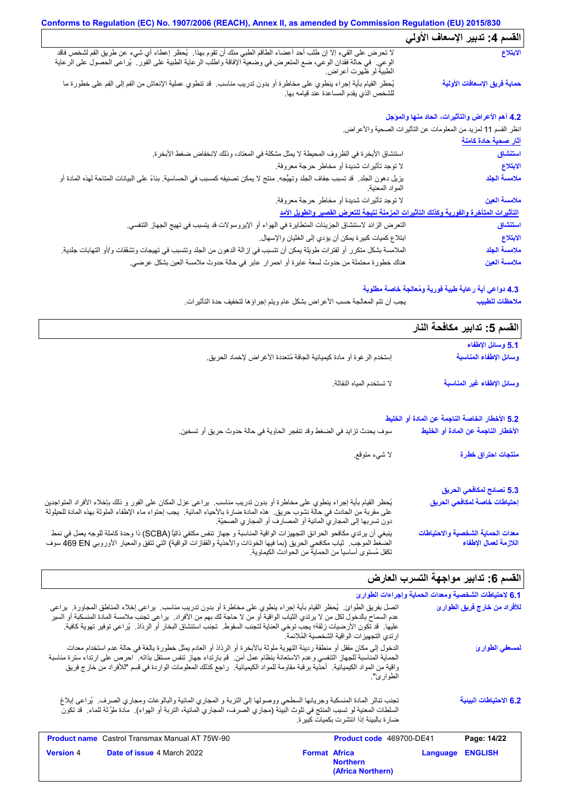#### **Conforms to Regulation (EC) No. 1907/2006 (REACH), Annex II, as amended by Commission Regulation (EU) 2015/830 القسم :4 تدبیر الإسعاف الأولي** لا تحرض على القيء إلا إن طلب أحد أعضاء الطاقم الطبي منك أن تقوم بھذا. یُحظر إعطاء أي شيء عن طریق الفم لشخص فاقد الوعي. في حالة فقدان الوعي، ضع المتعرض في وضعیة الإفاقة واطلب الرعایة الطبیة على الفور. یُراعى الحصول على الرعایة الطبیة لو ظھرت أعراض. یُحظر القیام بأیة إجراء ینطوي على مخاطرة أو بدون تدریب مناسب. قد تنطوي عملیة الإنعاش من الفم إلى الفم على خطورة ما للشخص الذي یقدم المساعدة عند قیامھ بھا. **الابتلاع حمایة فریق الإسعافات الأولیة**

#### **4.2 أھم الأعراض والتأثیرات، الحاد منھا والمؤجل**

انظر القسم 11 لمزید من المعلومات عن التأثیرات الصحیة والأعراض.

|                                                                                                                                                    | <u>آثار صحبة حادة كامنة</u> |
|----------------------------------------------------------------------------------------------------------------------------------------------------|-----------------------------|
| استنشاق الأبخرة في الظروف المحيطة لا يمثل مشكلة في المعتاد، وذلك لانخفاض ضغط الأبخرة.                                                              | استنشاق                     |
| لا توجد تأثيرات شديدة أو مخاطر حرجة معروفة.                                                                                                        | الابتلاع                    |
| يزيل دهون الجلد. قد تسبب جفاف الجلد وتهيُّجه. منتج لا يمكن تصنيفه كمسبب في الحساسية. بناءً على البيانات المتاحة لهذه المادة أو<br>المو اد المعنية. | ملامسة الجلد                |
| لا توجد تأثيرات شديدة أو مخاطر حرجة معروفة.                                                                                                        | ملامسة العين                |
| التأثيرات المتأخرة والفورية وكذلك التأثيرات المزمنة نتيجة للتعرض القصير والطويل الأمد                                                              |                             |
| النعر ض الزائد لاستنشاق الجزيئات المتطايرة في الهواء أو الإيروسولات قد يتسبب في تهيج الجهاز التنفسي.                                               | استنشاق                     |
| ابتلاع كميات كبيرة يمكن أن يؤدي إلى الغثيان والإسهال.                                                                                              | الابتلاع                    |
| الملامسة بشكل متكرر أو لفترات طويلة يمكن أن تتسبب في إزالة الدهون من الجلد وتتسبب في تهيجات وتشققات و/أو التهابات جلدية <sub>.</sub>               | ملامسة الجلد                |
| هناك خطورة محتملة من حدوث لسعة عابرة أو احمرار عابر في حالة حدوث ملامسة العين بشكل عرضي.                                                           | ملامسة العين                |

#### **4.3 دواعي أیة رعایة طبیة فوریة ومُعالجة خاصة مطلوبة**

یجب أن تتم المعالجة حسب الأعراض بشكل عام ویتم إجراؤھا لتخفیف حدة التأثیرات. **ملاحظات للطبیب**

|                                                                                                                                                                                                                                                                                                                              | الفسم 5: تدابير مكافحة النار                               |
|------------------------------------------------------------------------------------------------------------------------------------------------------------------------------------------------------------------------------------------------------------------------------------------------------------------------------|------------------------------------------------------------|
|                                                                                                                                                                                                                                                                                                                              | 5.1 وسائل الإطفاء                                          |
| إستخدم الرغوة أو مادة كيميائية الجافة مُتعددة الأغراض لإخماد الحريق.                                                                                                                                                                                                                                                         | وسائل الإطفاء المناسبة                                     |
| لا تستخدم المياه النفاثة.                                                                                                                                                                                                                                                                                                    | وسائل الإطفاء غير المناسبة                                 |
|                                                                                                                                                                                                                                                                                                                              | 5.2 الأخطار الخاصة الناجمة عن المادة أو الخليط             |
| سوف يحدث تز ايد في الضغط وقد تنفجر  الحاوية في حالة حدوث حريق أو تسخين.                                                                                                                                                                                                                                                      | الأخطار الناجمة عن المادة أو الخليط                        |
| لا شيء متوقع.                                                                                                                                                                                                                                                                                                                | منتجات احتراق خطِرة                                        |
|                                                                                                                                                                                                                                                                                                                              | 5.3 نصائح لمكافحي الحريق                                   |
| يُحظر القيام بأية إجراء ينطوي على مخاطرة أو بدون تدريب مناسب.  يراعى عزل المكان على الفور و ذلك بإخلاء الأفراد المتواجدين<br>على مقربة من الحادث في حالة نشوب حريق ¸ هذه المادة ضارة بالأحياء المائية ¸ يجب إحتواء ماء الإطفاء الملوثة بهذه المادة للحيلولة<br>دون تسربها إلى المجاري المائية أو المصارف أو المجاري الصحيّة. | إحتياطات خاصة لمكافحي الحريق                               |
| ينبغي أن يرتدي مكافحو الحرائق التجهيزات الواقية المناسبة و جهاز تنفس مكتفي ذاتيًّا (SCBA) ذا وحدة كاملة للوجه يعمل في نمط<br>الضغط الموجب   ثياب مكافحي الحريق (بما فيها الخوذات والأحذية والقفازات الواقية) التي تتفق والمعيار  الأوروبي 469 EN سوف<br>تكفل مُستوى أساسياً من الحماية من الحوادث الكيماوية.                 | معدات الحماية الشخصية والاحتياطات<br>اللازمة لعمال الإطفاء |

# القسم 6: تدابیر مواجهة التسرب العا*ر*ض

|                                                                                                                                                                                                                                                                                                                                                                                         | 6.1 لاحتياطات الشخصية ومعدات الحماية وإجراءات الطوارئ                                      |  |
|-----------------------------------------------------------------------------------------------------------------------------------------------------------------------------------------------------------------------------------------------------------------------------------------------------------------------------------------------------------------------------------------|--------------------------------------------------------------------------------------------|--|
| اتصل بفريق الطوائ.  يُحظر القيام بأية إجراء بنطوي على مخاطرة أو بدون ندريب مناسب.  يراعي إخلاء المناطق المجاورة.  يراعي<br>عدم السماح بالدخول لكل من لا يرتدي الثياب الواقية أو من لا حاجة لك بهم من الأفراد٬ يراعى تجنب ملامسة المادة المنسكبة أو السير<br>عليها. قد تكون الأرضيات زلقة؛ يجب توخي العناية لتجنب السقوط. تجنب استنشاق البخار أو الرذاذ. يُراعي توفير تهوية كافية.       | للأفراد من خارج فريق الطوارئ<br>ارتدى التجهيزات الواقية الشخصية الملائمة                   |  |
| الدخول إلى مكان مقفل أو منطقة رديئة التهوية ملوثة بالأبخرة أو الرذاذ أو العادم يمثل خطورة بالغة في حالة عدم استخدام معدات<br>الحماية المناسبة للجهاز التنفسي وعدم الاستعانة بنظام عمل آمن. قم بارتداء جهاز تنفس مستقل بذاته. احرص على ارتداء سترة مناسبة<br>واقية من المواد الكيميائية. أحذية برقبة مقاومة للمواد الكيميائية.  راجع كذلك المعلومات الواردة في قسم "للأفراد من خارج فريق | لمسعفى الطوارئ<br>الطوار ئ".                                                               |  |
| تجنب تناثر المادة المنسكبة وجريانها السطحي ووصولها إلى التربة و المجاري المائية والبالوعات ومجاري الصرف.  يُراعى إبلاغ<br>السلطات المعنية لو تسبب المنتج في تلوث البيئة (مجاري الصرف، المجاري المائية، التربة أو الهواء).  مادة ملوً ثة للماء . قد تكون                                                                                                                                 | 6.2 الاحتياطات البينية<br>ضـار ة بـالبيئـة إذا انتشر ت بكميات كبير ة.                      |  |
| <b>Product name</b> Castrol Transmax Manual AT 75W-90                                                                                                                                                                                                                                                                                                                                   | Page: 14/22<br><b>Product code</b> 469700-DE41                                             |  |
| <b>Date of issue 4 March 2022</b><br><b>Version 4</b>                                                                                                                                                                                                                                                                                                                                   | <b>Format Africa</b><br><b>ENGLISH</b><br>Language<br><b>Northern</b><br>(Africa Northern) |  |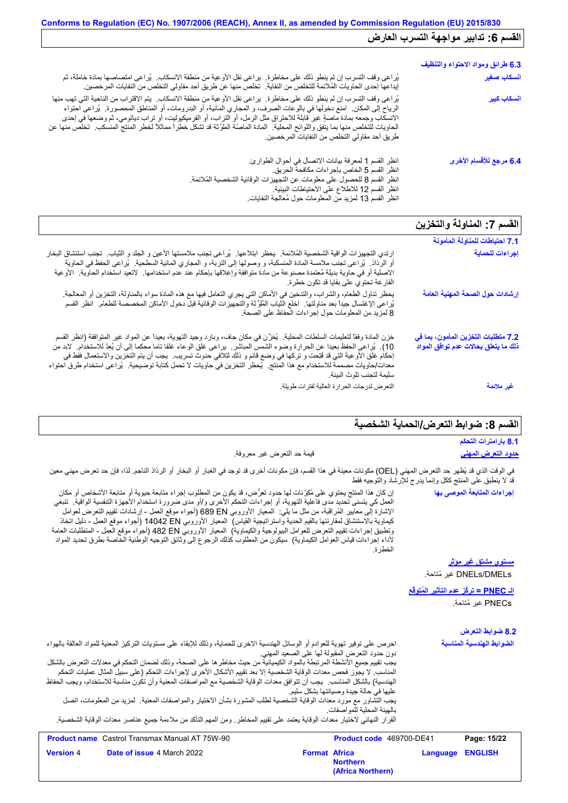| 6.3 طرائق ومواد الاحتواء والتنظيف |                                                                                                                                                                                                                                                                                                                                                                                                                                                                                                                                                                   |
|-----------------------------------|-------------------------------------------------------------------------------------------------------------------------------------------------------------------------------------------------------------------------------------------------------------------------------------------------------------------------------------------------------------------------------------------------------------------------------------------------------------------------------------------------------------------------------------------------------------------|
| انسكاب صغير                       | يُراعى وقف التسرب إن لم ينطو ذلك على مخاطرة.  يراعي نقل الأوعية من منطقة الانسكاب.  يُراعي امتصاصـها بمادة خاملة، ثم<br>إيداعها إحدى الحاويات المُلائمة للتخلص من النفاية.  تخلص منها عن طريق أحد مقاولي التخلص من النفايات المر خصين.                                                                                                                                                                                                                                                                                                                            |
| انسكاب كبير                       | يُراعي وقف التسرب إن لم ينطو ذلك على مخاطرة٬ يراعي نقل الأوعية من منطقة الانسكاب٬ يتم الاقتراب من الناحية التي تهب منها<br>الرياح إلى المكان ِ امنع دخولها في بالوعات الصرف، و المجاري المائية، أو البدرومات، أو المناطق المحصورة ِ يُراعى احتواء<br>الانسكاب وجمعه بمادة ماصةٍ غير قابلة للاحتراق مثل الرمل، أو التراب، أو الفرميكيوليت، أو تراب دياتومي، ثم وضعها في إحدى<br>الحاويات للتخلص منها بما يتفق واللوائح المحلية   المادة الماصّة الملوَّثة قد تشكل خطراً مماثلاً لخطر المنتج المنسكب   تخلص منها عن<br>طريق أحد مقاولي التخلص من النفايات المرخصين. |
| 6.4 مرجع للأقسام الأخرى           | انظر القسم 1 لمعرفة بيانات الاتصال في أحوال الطوارئ.<br>انظر القسم 5 الخاص بإجر اءات مكافحة الحريق.<br>انظر القسم 8 للحصول على معلومات عن التجهيزات الوقائية الشخصية المُلائمة.<br>انظر القسم 12 للاطلاع على الاحتياطات البيئية.<br>انظر القسم 13 لمزيد من المعلومات حول مُعالجة النفايات                                                                                                                                                                                                                                                                         |

# **القسم :7 المناولة والتخزین**

|                                                                                                                                                                                                                                                                                                                                                                                                                                                                                                                                             | 7.1 احتياطات للمناولة المأمونة                                              |
|---------------------------------------------------------------------------------------------------------------------------------------------------------------------------------------------------------------------------------------------------------------------------------------------------------------------------------------------------------------------------------------------------------------------------------------------------------------------------------------------------------------------------------------------|-----------------------------------------------------------------------------|
| ارتدي التجهيزات الواقية الشخصية المُلائمة٬ يحظر ابتلاعها٬ يُراعى تجنب ملامستها الأعين و الجلد و الثياب٬ تجنب استنشاق البخار<br>أو الرذاذ ۖ يُراعى نجنب ملامسة المادة المنسكبة، و وصولها إلى التربة، و المجاري المانية السطحية ۖ يُراعى الحفظ في الحاوية<br>الاصلية أو في حاوية بديلة مُعتمدة مصنوعة من مادة متوافقة وإغلاقها بإحكام عند عدم استخدامها. لاتعيد استخدام الحاوية. الأوعية<br>الفار غة تحتوي على بقايا قد تكون خطرة.                                                                                                            | إجراءات للحماية                                                             |
| يحظر تناول الطعام، والشراب، والتدخين في الأماكن التي يجري النعامل فيها مع هذه المادة سواء بالمناولة، النخزين أو المعالجة.<br>يُراعى الإغتسال جيداً بعد مناولتها ِ اخلع الثياب المُلوَّثة والتجهيزات الوقانية قبل دخول الأماكن المخصصة للطعام ِ انظر القسم<br>8 لمزيد من المعلومات حول إجراءات الحفاظ على الصحة.                                                                                                                                                                                                                             | إرشادات حول الصحة المهنية العامة                                            |
| خزن المادة وفقاً لتعليمات السلطات المحلية ِ يُخزَّن في مكان جاف، وبارد وجيد التهوية، بعيداً عن المواد غير المتوافقة (انظر القسم<br>10).  يُراعي الحفظ بعيدا عن الحرارة وضوء الشمس المباشر .  براعي غلق الوعاء غلقا ناما محكما إلى أن يُعدّ للاستخدام.  لابد من<br>إحكام غلق الأوعية التي قد فُتِحت و تركها في وضع قائم و ذلك لتلافي حدوث تسريب.  يجب أن يتم التخزين والاستعمال فقط في<br>معدات/حاويات مصممة للاستخدام مع هذا المنتج.  يُحظر التخزين في حاويات لا تحمل كتابة توضيحية.  يُراعى استخدام طرق احتواء<br>سليمة لتجنب تلوث البيئة. | 7.2 متطلبات التخزين المأمون، بما في<br>ذلك ما يتعلق بحالات عدم توافق المواد |
| التعرض لدرجات الحرارة العالية لفترات طويلة                                                                                                                                                                                                                                                                                                                                                                                                                                                                                                  | غير ملائمة                                                                  |

# القسم 8: ضوابط التع*ر*ض/الحماية الشخصية

| المسلم ن. مس المسر من المساب                                         |                                                                                                                       |                                                                                                                                                                                                                                                                                                                                                                                                                                                                                                                                                                                                                                                                                                                                                                        |
|----------------------------------------------------------------------|-----------------------------------------------------------------------------------------------------------------------|------------------------------------------------------------------------------------------------------------------------------------------------------------------------------------------------------------------------------------------------------------------------------------------------------------------------------------------------------------------------------------------------------------------------------------------------------------------------------------------------------------------------------------------------------------------------------------------------------------------------------------------------------------------------------------------------------------------------------------------------------------------------|
| 8.1 بارامترات التحكم                                                 |                                                                                                                       |                                                                                                                                                                                                                                                                                                                                                                                                                                                                                                                                                                                                                                                                                                                                                                        |
| <u>حدود التعرض المهنى</u>                                            | قيمة حد النعرض غير معروفة.                                                                                            |                                                                                                                                                                                                                                                                                                                                                                                                                                                                                                                                                                                                                                                                                                                                                                        |
| قد لا ينطبق على المنتج ككل وإنما يدرج للإرشاد والتوجيه فقط           |                                                                                                                       | في الوقت الذي قد يُظهر حد التعرض المهني (OEL) مكونات معينة في هذا القسم، فإن مكونات أخرى قد توجد في الغبار أو البخار أو الرذاذ الناجم. لذا، فإن حد تعرض مهنى معين                                                                                                                                                                                                                                                                                                                                                                                                                                                                                                                                                                                                      |
| إجراءات المتابعة الموصى بها                                          | المنطور ة                                                                                                             | إن كان هذا المنتَج يحتوي على مُكرِّنات لها حدود تعرَّض، قد يكون من المطلوب إجراء متابعة حيوية أو متابعة الأشخاص أو مكان<br>العمل كي يتسنى تحديد مدى فاعلية التهوية، أو إجراءات التحكم الأخرى و/أو مدى ضرورة استخدام الأجهزة التنفسية الواقية.  تنبغي<br>الإشارة إلى معايير الْمُراڤبة، من مثل ما يلي:  المعيار الأوروبي 689 EN (أجواء موقع العمل - إرشادات تقييم التعرض لعوامل<br>كيماوية بالاستنشاق لمقارنتها بالقيم الحدية واستراتيجية القياس)  المعيار الأوروبي 14042 EN (أجواء موقع العمل - دليل اتخاذ<br>وتطبيق إجراءات تقييم التعرض للعوامل البيولوجية والكيماوية)  المعيار الأوروبـي 482 Bd (أجواء موقع العمل - المتطلبات العامة<br>لأداء إجراءات قياس العوامل الكيماوية)  سيكون من المطلوب كذلك الرجوع إلى وثائق التوجيه الوطنية الخاصة بطرق تحديد المواد      |
| مستوى مشتق غير مؤثر<br>DNELs/DMELs غير مُتاحة.                       |                                                                                                                       |                                                                                                                                                                                                                                                                                                                                                                                                                                                                                                                                                                                                                                                                                                                                                                        |
| <u>الـ PNEC = تركُّز عدم التأثير المُتوفَّع</u><br>PNECs غير مُتاحة. |                                                                                                                       |                                                                                                                                                                                                                                                                                                                                                                                                                                                                                                                                                                                                                                                                                                                                                                        |
| 8.2 ضوابط التعرض                                                     |                                                                                                                       |                                                                                                                                                                                                                                                                                                                                                                                                                                                                                                                                                                                                                                                                                                                                                                        |
| الضوابط الهندسية المناسبة                                            | دون حدود التعرض المقبولة لها على الصعيد المهنى<br>عليها في حالة جيدة وصيانتها بشكل سليم<br>بالهيئة المحلية للمواصفات. | احرص على توفير تهوية للعوادم أو الوسائل الهندسية الاخرى للحماية، وذلك للإبقاء على مستويات التركيز المعنية للمواد العالقة بالهواء<br>يجب تقييم جميع الأنشطة المرتبطة بالمواد الكيميائية من حيث مخاطر ها على الصحة، وذلك لضمان التحكم في معدلات التعرض بالشكل<br>المناسب. لا يجوز فحص معدات الوقاية الشخصية إلا بعد تقييم الأشكال الأخرى لإجراءات التحكم (على سبيل المثال عمليات التحكم<br>الهندسية) بالشكل المناسب يجب أن تتوافق معدات الوقاية الشخصية مع المواصفات المعنية وأن تكون مناسبة للاستخدام، ويجب الحفاظ<br>يجب التشاور مع مورد معدات الوقاية الشخصية لطلب المشورة بشأن الاختيار والمواصفات المعنية  لمزيد من المعلومات، اتصل<br>القرار النهائي لاختيار معدات الوقاية يعتمد على تقييم المخاطر ـ ومن المهم التأكد من ملاءمة جميع عناصر معدات الوقاية الشخصية ـ |
| Page: 15/22                                                          | Product code 469700-DE41                                                                                              | <b>Product name</b> Castrol Transmax Manual AT 75W-90                                                                                                                                                                                                                                                                                                                                                                                                                                                                                                                                                                                                                                                                                                                  |
| <b>ENGLISH</b><br>Language                                           | <b>Format Africa</b><br><b>Northern</b><br>(Africa Northern)                                                          | Date of issue 4 March 2022                                                                                                                                                                                                                                                                                                                                                                                                                                                                                                                                                                                                                                                                                                                                             |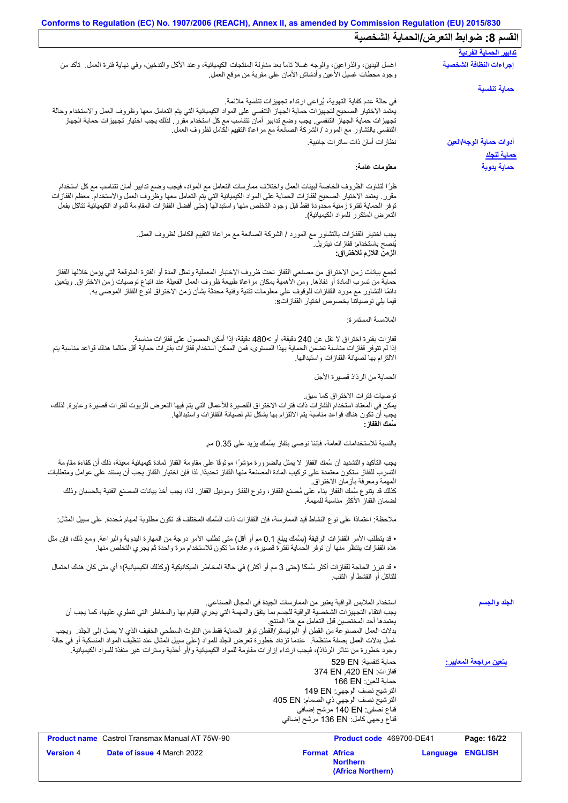## **Conforms to Regulation (EC) No. 1907/2006 (REACH), Annex II, as amended by Commission Regulation (EU) 2015/830** القسم 8: ضوابط التع*ر*ض/الحماية الشخصية

| انقسم ٢. صوابط انتعرض (انجماية انسخصية<br><u>تدابير الحماية الفردية</u> |                                                                      |                                                                                                                                                                                                                                          |
|-------------------------------------------------------------------------|----------------------------------------------------------------------|------------------------------------------------------------------------------------------------------------------------------------------------------------------------------------------------------------------------------------------|
| إجراءات النظافة الشخصية                                                 | وجود محطات غسلي الأعين وأدشاش الأمان على مقربة من موقع العمل.        | اغسل اليدين، والذراعين، والوجه غسلا تاما بعد مناولة المنتجات الكيميائية، وعند الأكل والتدخين، وفي نهاية فترة العمل ِ تأكد من                                                                                                             |
| حماية تنفسية                                                            |                                                                      |                                                                                                                                                                                                                                          |
|                                                                         | في حالة عدم كفاية التهوية، يُراعى ارتداء تجهيزات تنفسية ملائمة.      |                                                                                                                                                                                                                                          |
|                                                                         |                                                                      | يعتمد الاختيار الصحيح لتجهيزات حماية الجهاز التنفسي على المواد الكيميائية التي يتم التعامل معها وظروف العمل والاستخدام وحالة                                                                                                             |
|                                                                         |                                                                      | تجهيزات حماية الجهاز التنفسي. يجب وضع تدابير أمان تتناسب مع كل استخدام مقرر . لذلك يجب اختيار تجهيزات حماية الجهاز<br>التنفسي بالتشاور مع المورد / الشركة الصانعة مع مراعاة التقييم الكامل لظروف العمل.                                  |
| أدوات حماية الوجه/العين                                                 | نظار ات أمان ذات ساتر ات جانبية.                                     |                                                                                                                                                                                                                                          |
|                                                                         |                                                                      |                                                                                                                                                                                                                                          |
| <u>حماية للجلا</u>                                                      |                                                                      |                                                                                                                                                                                                                                          |
| حماية يدوية                                                             | معلومات عامة:                                                        |                                                                                                                                                                                                                                          |
|                                                                         |                                                                      | ظرًا لتفاوت الظروف الخاصة لبيئات العمل واختلاف ممارسات التعامل مع المواد، فيجب وضع تدابير أمان تتناسب مع كل استخدام                                                                                                                      |
|                                                                         |                                                                      | مقرر ٍ يعتمد الاختيار الصحيح لقفازات الحماية على المواد الكيميائية التي يتم التعامل معها وظروف العمل والاستخدام معظم القفازات                                                                                                            |
|                                                                         |                                                                      | توفر الحماية لفترة زمنية محدودة فقط قبل وجود التخلص منها واستبدالها (حتى أفضل القفازات المقاومة للمواد الكيميائية تتآكل بفعل                                                                                                             |
|                                                                         | التعرض المتكرر للمواد الكيميائية)                                    |                                                                                                                                                                                                                                          |
|                                                                         |                                                                      | يجب اختيار القفازات بالنشاور مع المورد / الشركة الصـانعة مع مراعاة النقييم الكامل لظروف العمل.                                                                                                                                           |
|                                                                         | يُنصح باستخدام: قفاز ات نيتريل.                                      |                                                                                                                                                                                                                                          |
|                                                                         | الزمن اللازم للاختراق:                                               |                                                                                                                                                                                                                                          |
|                                                                         |                                                                      |                                                                                                                                                                                                                                          |
|                                                                         |                                                                      | تُجمع بيانات زمن الاختراق من مصنعي القفاز تحت ظروف الاختبار المعملية وتمثل المدة أو الفترة المتوقعة التي يؤمن خلالها القفاز                                                                                                              |
|                                                                         |                                                                      | حماية من تسرب المادة أو نفاذها. ومن الأهمية بمكان مراعاة طبيعة ظروف العمل الفعيلة عند اتباع توصيات زمن الاختراق. ويتعين<br>دائمًا التشاور مع مورد القفازات للوقوف على معلومات تقنية وفنية محدثة بشأن زمن الاختراق لنوع القفاز الموصىي به |
|                                                                         | فيما يلي توصياتنا بخصوص اختيار القفازاتs:                            |                                                                                                                                                                                                                                          |
|                                                                         | الملامسة المستمرة:                                                   |                                                                                                                                                                                                                                          |
|                                                                         |                                                                      |                                                                                                                                                                                                                                          |
|                                                                         |                                                                      | قفازات بفترة اختراق لا تقل عن 240 دقيقة، أو >480 دقيقة، إذا أمكن الحصول على قفازات مناسبة.                                                                                                                                               |
|                                                                         | الالتزام بها لصيانة القفازات واستبدالها                              | إذا لم تتوفر قفازات مناسبة تضمن الحماية بهذا المستوى، فمن الممكن استخدام قفازات بفترات حماية أقل طالما هناك قواعد مناسبة يتم                                                                                                             |
|                                                                         |                                                                      |                                                                                                                                                                                                                                          |
|                                                                         | الحماية من الرذاذ قصيرة الأجل                                        |                                                                                                                                                                                                                                          |
|                                                                         |                                                                      |                                                                                                                                                                                                                                          |
|                                                                         | توصيات فتر ات الاختر اق كما سبق.                                     | يمكن في المعتاد استخدام القفازات ذات فترات الاختراق القصيرة للأعمال التي يتم فيها التعرض للزيوت لفترات قصيرة وعابرة. لذلك،                                                                                                               |
|                                                                         |                                                                      | يجب أن تكون هناك قواعد مناسبة يتم الالتزام بها بشكل تام لصيانة القفازات واستبدالها.                                                                                                                                                      |
|                                                                         | سُمك الففاز :                                                        |                                                                                                                                                                                                                                          |
|                                                                         | بالنسبة للاستخدامات العامة، فإننا نوصي بقفاز بسُمك يزيد على 0.35 مم. |                                                                                                                                                                                                                                          |
|                                                                         |                                                                      |                                                                                                                                                                                                                                          |
|                                                                         |                                                                      | يجب التأكيد والتشديد أن سُمك القفاز لا يمثل بالضرورة مؤشرًا موثوقًا على مقاومة القفاز لمادة كيميائية معينة، ذلك أن كفاءة مقاومة                                                                                                          |
|                                                                         |                                                                      | التسرب للقفاز ستكون معتمدة على تركيب المادة المصنعة منها القفاز تحديدًا. لذا فإن اختيار القفاز يجب أن يستند على عوامل ومتطلبات                                                                                                           |
|                                                                         | المهمة ومعرفة بأزمان الاختراق.                                       | كذلك قد يتنوع سُمك القفاز بناء على مُصنع القفاز، ونوع القفاز وموديل القفاز ٍ لذا، يجب أخذ بيانات المصنع الفنية بالحسبان وذلك                                                                                                             |
|                                                                         | لضمان القفاز الأكثر مناسبة للمهمة                                    |                                                                                                                                                                                                                                          |
|                                                                         |                                                                      |                                                                                                                                                                                                                                          |
|                                                                         |                                                                      | ملاحظة: اعتمادًا على نوع النشاط قيد الممارسة، فإن القفازات ذات السُمك المختلف قد تكون مطلوبة لمهام مُحددة. على سبيل المثال:                                                                                                              |
|                                                                         |                                                                      | • قد يتطلب الأمر القفازات الرقيقة (بسُمك يبلغ 0.1 مم أو أقل) متى تطلب الأمر درجة من المهارة اليدوية والبراعة. ومع ذلك، فإن مثل                                                                                                           |
|                                                                         |                                                                      | هذه القفازات ينتظر منها أن توفر الحماية لفترة قصيرة، وعادة ما تكون للاستخدام مرة واحدة ثم يجري التخلص منها.                                                                                                                              |
|                                                                         |                                                                      | • قد تبرز الحاجة لقفازات أكثر سُمكًا (حتى 3 مم أو أكثر) في حالة المخاطر الميكانيكية (وكذلك الكيميائية)؛ أي متى كان هناك احتمال                                                                                                           |
|                                                                         | للتَّاكُل أَو الْقَشْطْ أَو الثَّقْبِ.                               |                                                                                                                                                                                                                                          |
|                                                                         |                                                                      |                                                                                                                                                                                                                                          |
| الجلد والجسم                                                            | استخدام الملابس الواقية يعتبر من الممارسات الجيدة في المجال الصناعي. |                                                                                                                                                                                                                                          |
|                                                                         |                                                                      | يجب انتقاء التجهيزات الشخصية الواقية للجسم بما يتفق والمهمة التي يجري القيام بها والمخاطر التي تنطوي عليها، كما يجب أن                                                                                                                   |
|                                                                         | يعتمدها أحد المختصين قبل التعامل مع هذا المنتج                       |                                                                                                                                                                                                                                          |
|                                                                         |                                                                      | بدلات العمل المصنوعة من القطن أو البوليستر/القطن توفر الحماية فقط من التلوث السطحي الخفيف الذي لا يصل إلى الجلد  ويجب                                                                                                                    |
|                                                                         |                                                                      | غسل بدلات المعمل بصفة منتظمة.  عندما تزداد خطورة تعرض الجلد للمواد (على سبيل المثال عند تنظيف المواد المنسكبة أو في حالة                                                                                                                 |
|                                                                         |                                                                      | وجود خطورة من تناثر الرذاذ)، فيجب ارتداء إزارات مقاومة للمواد الكيميائية و/أو أحذية وسترات غير منفذة للمواد الكيميائية.                                                                                                                  |
| يتعين مراجعة المعايير:                                                  | حماية تنفسية: 529 EN                                                 |                                                                                                                                                                                                                                          |
|                                                                         | قفاز ات: 374 EN ,420 EN<br>حماية للعين: 166 EN                       |                                                                                                                                                                                                                                          |
|                                                                         | الترشيح نصف الوجهي: 149 EN                                           |                                                                                                                                                                                                                                          |
|                                                                         | الترشيح نصف الوجهي ذي الصمام: 405 EN                                 |                                                                                                                                                                                                                                          |
|                                                                         | قناع نصفي: 140 EN مرشح إضافي                                         |                                                                                                                                                                                                                                          |
|                                                                         | قفاع وجهي كامل: 136 EN مرشح إضافي                                    |                                                                                                                                                                                                                                          |
| Page: 16/22                                                             | Product code 469700-DE41                                             | <b>Product name</b> Castrol Transmax Manual AT 75W-90                                                                                                                                                                                    |
| Language ENGLISH                                                        | <b>Format Africa</b>                                                 | Version 4<br><b>Date of issue 4 March 2022</b>                                                                                                                                                                                           |
|                                                                         | <b>Northern</b>                                                      |                                                                                                                                                                                                                                          |

**(Africa Northern)**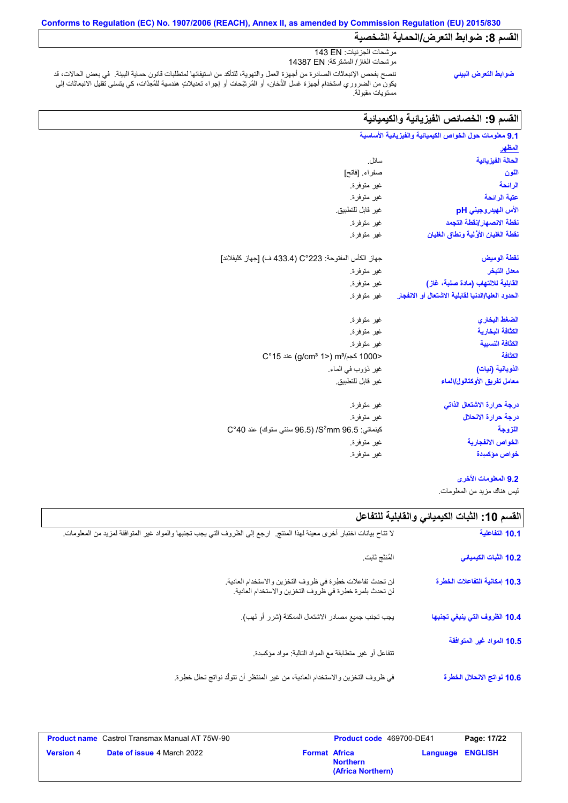## **Conforms to Regulation (EC) No. 1907/2006 (REACH), Annex II, as amended by Commission Regulation (EU) 2015/830** القسم 8: ضوابط التعرض/الحماية الشخصية

ننصح بفحص الإنبعاثات الصادرة من أجھزة العمل والتھویة، للتأكد من استیفائھا لمتطلبات قانون حمایة البیئة. في بعض الحالات، قد یكون من الضروري استخدام أجھزة غسل الدُّخان، أو المُرشِّحات أو إجراء تعدیلاتٍ ھندسیة للمُعِدَّات، كي یتسنى تقلیل الانبعاثات إلى مستویات مقبولة. مرشحات الجزئیات: EN 143 مرشحات الغاز/ المشتركة: EN 14387 **ضوابط التعرض البیئي**

# ال**قسم 9: الخصائص الفیزیائیة والكیمیائیة**

| 9.1 معلومات حول الخواص الكيميانية والفيزيانية الأساسية                |                                                            |
|-----------------------------------------------------------------------|------------------------------------------------------------|
| <u>المظهر</u>                                                         |                                                            |
| الحالة الفيز يائية                                                    | سائل.                                                      |
| اللون                                                                 | صفراء [فاتح]                                               |
| الرائحة                                                               | غير متوفرة.                                                |
| عتبة الرائحة                                                          | غير متوفرة.                                                |
| الأس الهيدروجيني pH                                                   | غير  قابل للتطبيق.                                         |
| نقطة الانصهار إنقطة التجمد                                            | غير متوفرة.                                                |
| نفطة الغليان الأوَّلية ونطاق الغليان                                  | غير متوفرة.                                                |
| نقطة الوميض                                                           | جهاز الكأس المفتوحة: 223°C (433.4 ف) [جهاز كليفلاند]       |
| معدل التبخر                                                           | غير متوفرة.                                                |
| القابلية للالتهاب (مادة صلبة، غاز)                                    | غير متوفرة.                                                |
| ا <b>لحدود العليا/الدنيا لقابلية الاشتعال أو الانفجار</b> غير متوفرة. |                                                            |
| الضغط البخاري                                                         | غير متوفرة.                                                |
| الكثافة البخارية                                                      | غير متوفرة.                                                |
| الكثافة النسببة                                                       | غير متوفرة.                                                |
| الكثافة                                                               | <1000 كجم/m3 (2°15) aic (g/cm3 1                           |
| الذوبانية (نيات)                                                      | غير ذؤوب في الماء.                                         |
| معامل تفريق الأوكتانول/الماء                                          | غير  قابل للتطبيق                                          |
| درجة حرارة الاشتعال الذاتى                                            | غير متوفرة.                                                |
| درجة حرارة الانحلال                                                   | غير متوفرة.                                                |
| اللزوجة                                                               | كينماتي: S <sup>2</sup> mm 96.5/ (96.5 سنتي ستوك) عند C°40 |
| الخواص الانفجارية                                                     | غير متوفرة.                                                |
| خواص مؤكسدة                                                           | غير متوفرة.                                                |
|                                                                       |                                                            |

#### **9.2 المعلومات الأخرى**

لیس ھناك مزید من المعلومات.

# **القسم :10 الثبات الكیمیائي والقابلیة للتفاعل**

| 10.1 التفاعلية                | لا تتاح بيانات اختبار أخرى معينة لهذا المنتج لرجع إلى الظروف التي يجب تجنبها والمواد غير المتوافقة لمزيد من المعلومات |
|-------------------------------|-----------------------------------------------------------------------------------------------------------------------|
| 10.2 الثبات الكيميائي         | المُنتَج ثابت                                                                                                         |
| 10.3 إمكانية التفاعلات الخطرة | لن تحدث تفاعلات خطرة في ظروف التخزين والاستخدام العادية.<br>لن تحدث بلمرة خطرة في ظروف التخزين والاستخدام العادية.    |
| 10.4 الظروف التي ينبغي تجنبها | يجب تجنب جميع مصادر الاشتعال الممكنة (شرر أو لهب).                                                                    |
| 10.5 المواد غير المتوافقة     | نتفاعل أو غير متطابقة مع المواد الذالية: مواد مؤكسدة.                                                                 |
| 10.6 نواتج الانحلال الخطرة    | في ظروف التخزين والاستخدام العادية، من غير المنتظر أن تتولَّد نواتج تحلَّل خطِرة.                                     |

| <b>Product name</b> Castrol Transmax Manual AT 75W-90 |                      | <b>Product code</b> 469700-DE41      | Page: 17/22             |
|-------------------------------------------------------|----------------------|--------------------------------------|-------------------------|
| <b>Date of issue 4 March 2022</b><br><b>Version 4</b> | <b>Format Africa</b> | <b>Northern</b><br>(Africa Northern) | <b>Language ENGLISH</b> |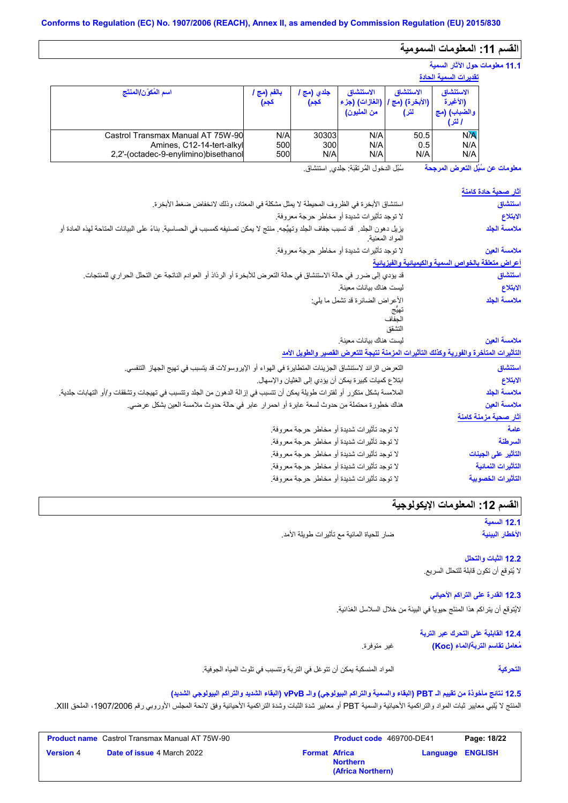# **القسم :11 المعلومات السمومیة**

## **11.1 معلومات حول الآثار السمیة**

|                                                                                                        | تقدير ات السمية الحادة |                     |                                            |                                     |                                                 |
|--------------------------------------------------------------------------------------------------------|------------------------|---------------------|--------------------------------------------|-------------------------------------|-------------------------------------------------|
| اسم المُكوّن/المنتَج                                                                                   | بالفم (مج ا<br>كجم)    | جلدي (مج ا<br>كجم)  | الاستنشاق<br>(الغازات) (جزء<br>من المليون) | الاستنشاق<br>(الأبخرة) (مج`<br>لتر) | الاستنشاق<br>(الأغيرة<br>والضباب) (مج<br>ا لتر) |
| Castrol Transmax Manual AT 75W-90<br>Amines, C12-14-tert-alkyl<br>2,2'-(octadec-9-enylimino)bisethanol | N/A<br>500<br>500      | 30303<br>300<br>N/A | N/A<br>N/A<br>N/A                          | 50.5<br>0.5<br>N/A                  | <b>N<sub>A</sub></b><br>N/A<br>N/A              |

سُبُل الدخول المُرتقَبَة: جلدي, استنشاق. **معلومات عن سُبُل التعرض المرجحة**

| <u>آثار صحبة حادة كامنة</u>                         |                                                                                                                                                   |
|-----------------------------------------------------|---------------------------------------------------------------------------------------------------------------------------------------------------|
| استنشاق                                             | استنشاق الأبخرة في الظروف المحيطة لا يمثل مشكلة في المعتاد، وذلك لانخفاض ضغط الأبخرة.                                                             |
| الابتلاع                                            | لا توجد تأثيرات شديدة أو مخاطر حرجة معروفة.                                                                                                       |
| ملامسة الجلد                                        | يزيل دهون الجلد. قد تسبب جفاف الجلد وتهيُّجه. منتج لا يمكن تصنيفه كمسبب في الحساسية. بناءً على البيانات المتاحة لهذه المادة أو<br>المواد المعنية. |
| ملامسة العين                                        | لا توجد تأثيرات شديدة أو مخاطر حرجة معروفة.                                                                                                       |
| أعراض متعلقة بالخواص السمية والكيميانية والفيزيانية |                                                                                                                                                   |
| استنشاق                                             | قد يؤدي إلى ضرر في حالة الاستنشاق في حالة التعرض للأبخرة أو الرذاذ أو العوادم الناتجة عن التحلل الحراري للمنتجات.                                 |
| الابتلاع                                            | ليست هناك بيانات معينة.                                                                                                                           |
| ملامسة الجلد                                        | الأعراض الضائرة قد تشمل ما يلي:<br>يهيج<br>التشقق                                                                                                 |
| ملامسة العين                                        | ليست هناك بيانات معينة                                                                                                                            |
|                                                     | التأثيرات المتأخرة والفورية وكذلك التأثيرات المزمنة نتيجة للتعرض القصير والطويل الأمد                                                             |
| استنشاق                                             | التعرض الزائد لاستنشاق الجزيئات المتطايرة في الهواء أو الإيروسولات قد يتسبب في تهيج الجهاز التنفسي.                                               |
| الابتلاع                                            | ابتلاع كميات كبيرة يمكن أن يؤدي إلى الغثيان والإسهال.                                                                                             |
| ملامسة الجلد                                        | الملامسة بشكل متكرر أو لفترات طويلة يمكن أن تتسبب في إزالة الدهون من الجلد وتتسبب في تهيجات وتشققات و/أو التهابات جلدية.                          |
| ملامسة العين                                        | هناك خطورة محتملة من حدوث لسعة عابرة أو احمر ار عابر في حالة حدوث ملامسة العين بشكل عرضي.                                                         |
| آثار صحية مزمنة كامنة                               |                                                                                                                                                   |
| علمة                                                | لا توجد تأثيرات شديدة أو مخاطر حرجة معروفة.                                                                                                       |
| السرطنة                                             | لا توجد تأثيرات شديدة أو مخاطر حرجة معروفة.                                                                                                       |
| التأثير على الجينات                                 | لا توجد تأثيرات شديدة أو مخاطر حرجة معروفة.                                                                                                       |
| التأثيرات النمائية                                  | لا توجد تأثيرات شديدة أو مخاطر حرجة معروفة.                                                                                                       |
| التأثيرات الخصوبية                                  | لا توجد تأثيرات شديدة أو مخاطر حرجة معروفة.                                                                                                       |

## **القسم :12 المعلومات الإیكولوجیة**

**12.1 السمیة الأخطار البیئیة**

**التحركیة**

ضار للحیاة المائیة مع تأثیرات طویلة الأمد.

**12.2 الثبات والتحلل** لا یُتوقع أن تكون قابلة للتحلل السریع.

**12.3 القدرة على التراكم الأحیائي**

لایُتوقع أن یتراكم ھذا المنتَج حیویاً في البیئة من خلال السلاسل الغذائیة.

**12.4 القابلیة على التحرك عبر التربة** غیر متوفرة. **مُعامل تقاسم التربة/الماء (Koc(**

المواد المنسكبة یمكن أن تتوغل في التربة وتتسبب في تلوث المیاه الجوفیة.

### **12.5 نتائج مأخوذة من تقییم الـ PBT) البقاء والسمیة والتراكم البیولوجي) والـ vPvB) البقاء الشدید والتراكم البیولوجي الشدید)**

المنتج لا يُلبي معايير ثبات المواد والتراكمية الأحيائية والسمية PBT أو معايير شدة الثبراكمية الأحيائية وفق لائحة المجلس الأوروبي رقم 1907/2006، الملحق XIII.

|                  | <b>Product name</b> Castrol Transmax Manual AT 75W-90 |                      | <b>Product code</b> 469700-DE41      |                  | Page: 18/22 |
|------------------|-------------------------------------------------------|----------------------|--------------------------------------|------------------|-------------|
| <b>Version 4</b> | <b>Date of issue 4 March 2022</b>                     | <b>Format Africa</b> | <b>Northern</b><br>(Africa Northern) | Language ENGLISH |             |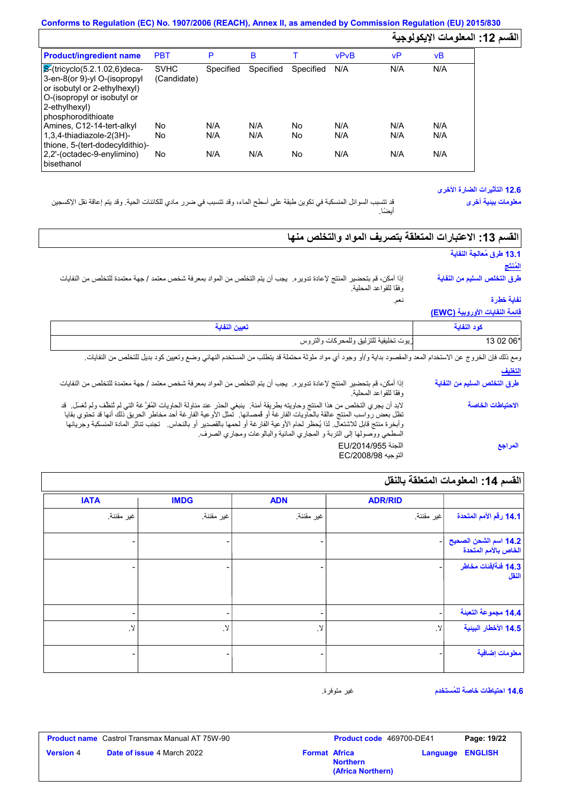# **Conforms to Regulation (EC) No. 1907/2006 (REACH), Annex II, as amended by Commission Regulation (EU) 2015/830 القسم :12 المعلومات الإیكولوجیة**

| <b>Product/ingredient name</b>                                                                                                                                                         | <b>PBT</b>                 | P         | в         |           | <b>vPvB</b> | vP  | νB  |
|----------------------------------------------------------------------------------------------------------------------------------------------------------------------------------------|----------------------------|-----------|-----------|-----------|-------------|-----|-----|
| $\sqrt{\mathcal{S}}$ -(tricyclo(5.2.1.02,6)deca-<br>3-en-8(or 9)-yl O-(isopropyl<br>or isobutyl or 2-ethylhexyl)<br>O-(isopropyl or isobutyl or<br>2-ethylhexyl)<br>phosphorodithioate | <b>SVHC</b><br>(Candidate) | Specified | Specified | Specified | N/A         | N/A | N/A |
| Amines, C12-14-tert-alkyl                                                                                                                                                              | No                         | N/A       | N/A       | No        | N/A         | N/A | N/A |
| $1.3.4$ -thiadiazole-2(3H)-<br>thione, 5-(tert-dodecyldithio)-                                                                                                                         | No                         | N/A       | N/A       | No        | N/A         | N/A | N/A |
| 2,2'-(octadec-9-enylimino)<br>bisethanol                                                                                                                                               | No                         | N/A       | N/A       | No        | N/A         | N/A | N/A |

## **12.6 التأثیرات الضارة الأخرى**

**معلومات بیئیة أخرى**

قد تتسبب السوائل المنسكبة في تكوین طبقة على أسطح الماء، وقد تتسبب في ضرر مادي للكائنات الحیة. وقد یتم إعاقة نقل الإكسجین أیضًا.

| القسم 13: الاعتبارات المتعلقة بتصريف المواد والتخلص منها                                                                                                                                                                                                                                                                                                                                                                                                          |                                       |
|-------------------------------------------------------------------------------------------------------------------------------------------------------------------------------------------------------------------------------------------------------------------------------------------------------------------------------------------------------------------------------------------------------------------------------------------------------------------|---------------------------------------|
|                                                                                                                                                                                                                                                                                                                                                                                                                                                                   | 13.1 طرق مُعالجة النفاية<br>للمَنتَج  |
| المنتج لإعادة تدوير م. يجب أن يتم التخلص من المواد بمعرفة شخص معتمد / جهة معتمدة للتخلص من النفايات<br>إذا أمكن، قم بتحضير<br>وفقًا للقواعد المحلية.                                                                                                                                                                                                                                                                                                              | طرق التخلص السليم من النفاية          |
| نعم.                                                                                                                                                                                                                                                                                                                                                                                                                                                              | نفاية خطِرة                           |
|                                                                                                                                                                                                                                                                                                                                                                                                                                                                   | <u>قائمة النفايات الأوروبية (EWC)</u> |
| تعيين النفاية                                                                                                                                                                                                                                                                                                                                                                                                                                                     | كود النفاية                           |
| زيوت تخليقية للتزليق وللمحركات والتروس                                                                                                                                                                                                                                                                                                                                                                                                                            | 13 02 06*                             |
| ومع ذلك فإن الخروج عن الاستخدام المعد والمقصود بداية و/أو وجود أي مواد ملوثة محتملة قد يتطلب من المستخدم النهائي وضع وتعيين كود بديل للتخلص من النفايات.                                                                                                                                                                                                                                                                                                          |                                       |
|                                                                                                                                                                                                                                                                                                                                                                                                                                                                   | التغليف                               |
| إذا أمكن، قم بتحضير المنتج لإعادة تدوير .  يجب أن يتم التخلص من المواد بمعرفة شخص معتمد / جهة معتمدة للتخلص من النفايات<br>وفقًا للقواعد المحلية                                                                                                                                                                                                                                                                                                                  | طرق التخلص السليم من النفاية          |
| لابد أن يجري التخلص من هذا المنتج وحاويته بطريقة آمنة.  ينبغي الحذر عند مناولة الحاويات المُغرَّ غة التي لم ثنظف ولم ثغسل.  قد<br>تظل بعض رواسب المنتج عالقة بالحاويات الفارغة أو فمصانها فتمثل الأوعية الفارغة أحد مخاطر الحريق ذلك أنها قد تحتوي بقايا<br>وأبخرة منتج قابل للاشتعال. لذا يُحظر لحام الأوعية الفارغة أو لحمها بالقصدير أو بالنحاس.   تجنب تتاثر المادة المنسكبة وجريانها<br>السطحي ووصولها إلى التربة و المجاري المائية والبالوعات ومجاري الصرف. | الاحتياطات الخاصة                     |
| اللجنة EU/2014/955<br>التوجيه EC/2008/98                                                                                                                                                                                                                                                                                                                                                                                                                          | المراجع                               |

|  | القسم 14: المعلومات المتعلقة بالنقل |  |
|--|-------------------------------------|--|
|  |                                     |  |

| <b>IATA</b>                  | <b>IMDG</b>              | <b>ADN</b>    | <b>ADR/RID</b> |                                               |
|------------------------------|--------------------------|---------------|----------------|-----------------------------------------------|
| غير مقننة.                   | غير مقننة.               | غير مقننة.    | اغير مقننة.    | 14.1 رفَّم الأمم المتحدة                      |
|                              |                          |               |                | 14.2 اسم الشحن الصحيح<br>الخاص بالأمم المتحدة |
| $\overline{\phantom{0}}$     | $\blacksquare$           |               |                | 14.3 فَنَةَ/فَنات مخاطر<br>النقل              |
| $\qquad \qquad \blacksquare$ | $\overline{\phantom{a}}$ | ۰             |                | 14.4 مجموعة التعبنة                           |
| $\lambda$                    | . Y                      | $\mathcal{A}$ | $\mathcal{N}$  | 14.5 الأخطار البينية                          |
|                              |                          |               |                | معلومات إضافية                                |

**14.6 احتیاطات خاصة للمُستخدم**

غیر متوفرة.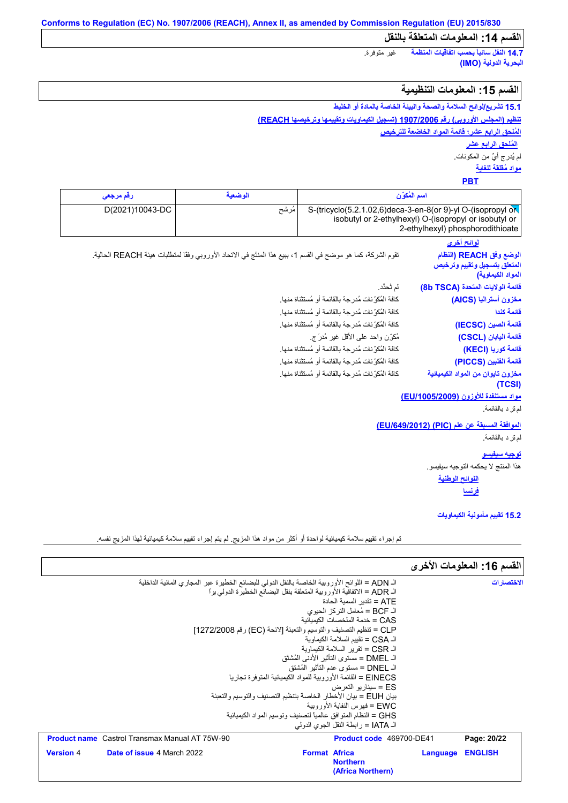**14.7 النقل سائباً بحسب اتفاقیات المنظمة** غیر متوفرة. **البحریة الدولیة (IMO(**

## **القسم :15 المعلومات التنظیمیة**

**15.1 تشریع/لوائح السلامة والصحة والبیئة الخاصة بالمادة أو الخلیط تنظیم (المجلس الأوروبي) رقم 1907/2006 (تسجیل الكیماویات وتقییمھا وترخیصھا REACH(**

**المُلحق الرابع عشر؛ قائمة المواد الخاضعة للترخیص مواد مُقلقة للغایة** لم یُدرج أيٌ من المكونات. **المُلحق الرابع عشر**

## **PBT**

| ارقم مر <b>جع</b> ی | الوضعية | اسم المكوان                                                                                                                |
|---------------------|---------|----------------------------------------------------------------------------------------------------------------------------|
| D(2021)10043-DC     | مرشح    | S-(tricyclo(5.2.1.02,6)deca-3-en-8(or 9)-yl O-(isopropyl $\alpha$<br>isobutyl or 2-ethylhexyl) O-(isopropyl or isobutyl or |
|                     |         | 2-ethylhexyl) phosphorodithioate                                                                                           |

**لوائح أخرى** تقوم الشركة، كما ھو موضح في القسم ،1 ببیع ھذا المنتَج في الاتحاد الأوروبي وفقًا لمتطلبات ھیئة REACH الحالیة. كافة المُكوِّنات مُدرجة بالقائمة أو مُستثناة منھا. كافة المُكوِّنات مُدرجة بالقائمة أو مُستثناة منھا. كافة المُكوِّنات مُدرجة بالقائمة أو مُستثناة منھا. مُكوِّن واحد على الأقل غیر مُدرَ ج. لم تُحدَّد. كافة المُكوِّنات مُدرجة بالقائمة أو مُستثناة منھا. كافة المُكوِّنات مُدرجة بالقائمة أو مُستثناة منھا. كافة المُكوِّنات مُدرجة بالقائمة أو مُستثناة منھا. قائمة الفلبين (<br>مغزون تايوان<br>معراد مستن<mark>فدة</mark><br>لم تر د بالقائمة.<br>لم تر د بالقائمة. **الوضع وفق REACH) النظام المتعلق بتسجیل وتقییم وترخیص المواد الكیماویة) قائمة الولایات المتحدة (TSCA b8( مخزون أسترالیا (AICS( قائمة كندا قائمة الصین (IECSC( قائمة الیابان (CSCL( قائمة كوریا (KECI( قائمة الفلبین (PICCS( مخزون تایوان من المواد الكیمیائیة (TCSI)**

**مواد مستنفدة للأوزون (/1005/2009EU(** رِ د د بالقائمة.<br>الم ترِ د بالقائمة.<br>الم ترِ د بالقائمة.<br>الم تر د بالقائمة.<br>الم تر د بالقائمة.

#### **الموافقة المسبقة عن علم (PIC) (/649/2012EU(**

#### **توجیھ سیفیسو**

ھذا المنتج لا یحكمھ التوجیھ سیفیسو.

**اللوائح الوطنیة فرنسا**

**15.2 تقییم مأمونیة الكیماویات**

تم إجراء تقییم سلامة كیمیائیة لواحدة أو أكثر من مواد ھذا المزیج. لم یتم إجراء تقییم سلامة كیمیائیة لھذا المزیج نفسھ.

|                                                                                               |                      |                                                                 |          | القسم 16: المعلومات الأخرى |
|-----------------------------------------------------------------------------------------------|----------------------|-----------------------------------------------------------------|----------|----------------------------|
| الـ ADN = اللوائح الأوروبية الخاصة بالنقل الدولي للبضائع الخطيرة عبر المجاري المائية الداخلية |                      |                                                                 |          | الاختصار ات                |
| الـ ADR = الاتفاقية الأو ر و بية المتعلقة بنقل البضائع الخطير ة الدولي بر ا                   |                      |                                                                 |          |                            |
|                                                                                               |                      | ATE = تقدبر   السمبة الحادة                                     |          |                            |
|                                                                                               |                      | الـ BCF = مُعامل النركز الحيوى                                  |          |                            |
|                                                                                               |                      | CAS = خدمة الملخصات الكيميائية                                  |          |                            |
| CLP = تنظيم التصنيف والتوسيم والتعبئة [لائحة (EC) رقم 1272/2008]                              |                      |                                                                 |          |                            |
|                                                                                               |                      | الـ CSA = تقييم السلامة الكيماو ية                              |          |                            |
|                                                                                               |                      | الـ CSR = تقرير السلامة الكيماوية                               |          |                            |
|                                                                                               |                      | الـ DMEL = مستوى التأثير  الأدنى المُشتَق                       |          |                            |
|                                                                                               |                      | الـ DNEL = مستوى عدم التأثير  المُشتق                           |          |                            |
|                                                                                               |                      | EINECS = القائمة الأور وبية للمواد الكيميائية المتوفر ة تجار با |          |                            |
|                                                                                               |                      | ES = سبنار بو التعرض                                            |          |                            |
| بيان EUH = بيان الأخطار الخاصة بتنظيم التصنيف والتوسيم والتعبئة                               |                      | EWC = فهرس النفاية الأور ويبة                                   |          |                            |
|                                                                                               |                      | GHS = النظام المتوافق عالمياً لتصنيف وتوسيم المواد الكيميائية   |          |                            |
|                                                                                               |                      | الـ JATA = ر ابطة النقل الجو ي الدو لي                          |          |                            |
|                                                                                               |                      |                                                                 |          |                            |
| <b>Product name</b> Castrol Transmax Manual AT 75W-90                                         |                      | Product code 469700-DE41                                        |          | Page: 20/22                |
| <b>Version 4</b><br><b>Date of issue 4 March 2022</b>                                         | <b>Format Africa</b> |                                                                 | Language | <b>ENGLISH</b>             |
|                                                                                               |                      | <b>Northern</b>                                                 |          |                            |
|                                                                                               |                      | (Africa Northern)                                               |          |                            |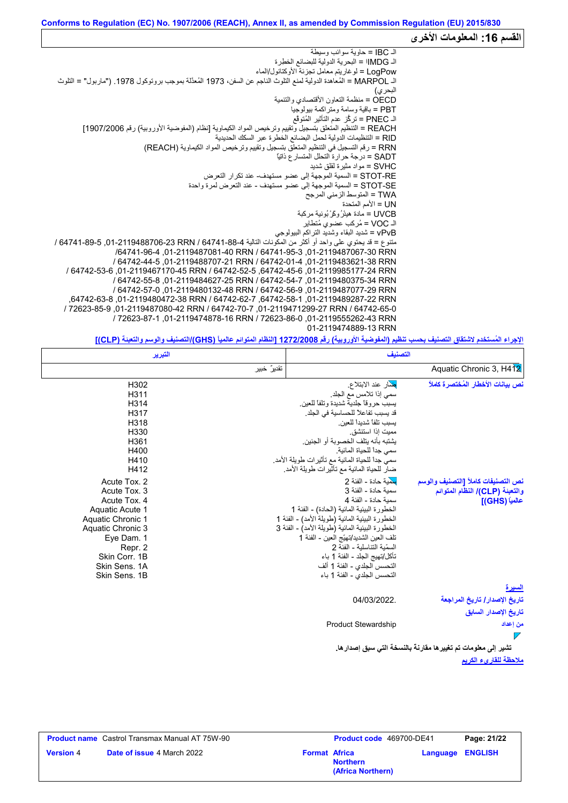# القسم 16: المعلومات الأخر*ى*

| اك IBC = حاوية سوائب وسيطة                                                                                          |  |
|---------------------------------------------------------------------------------------------------------------------|--|
| الـ IMDG! = البحرية الدولية للبضائع الخطرة                                                                          |  |
| LoqPow = لو غاريتم معامل تجزئة الأوكتانول/الماء                                                                     |  |
| الـ MARPOL = المُعاهدة الدولية لمنع التلوث الناجم عن السفن، 1973 المُعدَّلة بموجب بروتوكول 1978. ("ماربول" = التلوث |  |
| البحر ي)                                                                                                            |  |
| OECD = منظمة التعاون الأقتصادي والتنمية                                                                             |  |
| PBT = باقية وسامة ومتر اكمة بيولوجيا                                                                                |  |
| الـ PNEC = تركُّز عدم التأثير المُتوقَّع                                                                            |  |
| REACH = التنظيم المتعلق بتسجيل وتقييم وترخيص المواد الكيماوية [نظام (المفوضية الأوروبية) رقم 1907/2006]             |  |
| RID = التنظيمات الدولية لحمل البضائع الخطرة عبر السكك الحديدية                                                      |  |
| RRN = رقم التسجيل في التنظيم المتعلق بتسجيل وتقييم وترخيص المواد الكيماوية (REACH)                                  |  |
| SADT = در جة حر ار ة التحلل المتسار ع ذاتيًّا                                                                       |  |
| SVHC = مو اد مثير ة لقلق شديد                                                                                       |  |
| STOT-RE = السمية الموجهة إلى عضو مستهدف- عند تكر ار  التعر ض                                                        |  |
| STOT-SE = السمية الموجهة إلى عضو مستهدف - عند التعرض لمرة واحدة                                                     |  |
| TWA = المتوسط الزمني المرجح                                                                                         |  |
| UN = الأمم المتحدة                                                                                                  |  |
| UVCB = مادة هبثرُ وكَرُ نُونية مركبة                                                                                |  |
| الـ VOC = مُركب عضوى مُتطاير                                                                                        |  |
| vPvB = شديد البقاء وشديد التراكم البيولوجي                                                                          |  |
| متنوع = قد يحتوي على واحد أو أكثر من المكونات التالية 64741-847 / 64741-89-706-01-01-01, 5-84741 / 64741-647 /      |  |
| /64741-95-3 01-2119487081-40 RRN / 64741-95-3 01-2119487067-30 RRN                                                  |  |
| / 64742-44-5 .01-2119488707-21 RRN / 64742-01-4 .01-2119483621-38 RRN                                               |  |
| / 64742-53-6 .01-2119467170-45 RRN / 64742-52-5 .64742-45-6 .01-2119985177-24 RRN                                   |  |
| / 64742-55-8, 01-2119484627-25 RRN / 64742-54-7, 01-2119480375-34 RRN                                               |  |
| / 64742-57-0.01-2119480132-48 RRN / 64742-56-9.01-2119487077-29 RRN                                                 |  |
| .64742-63-8 .01-2119480472-38 RRN / 64742-62-7 .64742-58-1 .01-2119489287-22 RRN                                    |  |
| / 72623-85-9 .01-2119487080-42 RRN / 64742-70-7 .01-2119471299-27 RRN / 64742-65-0                                  |  |
| / 72623-87-1 .01-2119474878-16 RRN / 72623-86-0 .01-2119555262-43 RRN                                               |  |
| 01-2119474889-13 RRN                                                                                                |  |
|                                                                                                                     |  |

**الإجراء المُستخدم لاشتقاق التصنیف بحسب تنظیم (المفوضیة الأوروبیة) رقم 1272/2008 [النظام المتوائم عالمیاً (GHS(/التصنیف والوسم والتعبئة (CLP[(**

|                                    | التصنيف                                            | التبرير     |                   |
|------------------------------------|----------------------------------------------------|-------------|-------------------|
| Aquatic Chronic 3, H4 12           |                                                    | تقديرٌ خبير |                   |
| نص بيانات الأخطار المُختصرة كاملاً | <mark>بغ</mark> مار عند الابتلاع.                  |             | H302              |
|                                    | سمى إذا تلامس مع الجلد.                            |             | H311              |
|                                    | يسبب حروقا جلدية شديدة وتلفا للعين                 |             | H314              |
|                                    | قد يسبب تفاعلاً للحساسية في الجلد.                 |             | H317              |
|                                    | بسبب تلفأ شدبدأ للعبن                              |             | H318              |
|                                    | ممبت اذا استنشق                                    |             | H330              |
|                                    | يشتبه بأنه يتلف الخصوبة أو الجنين                  |             | H361              |
|                                    | سمى جدأ للحياة المائية                             |             | H400              |
|                                    | سميٍّ جداً للحياة المائية مع تأثير ات طويلة الأمد. |             | H410              |
|                                    | ضار للحياة المائية مع تأثيرات طويلة الأمد.         |             | H412              |
| نص التصنيفات كاملأ [التصنيف والوسم | بِبِهْية حادة - الفئة 2                            |             | Acute Tox. 2      |
| والتعبنة (CLP)/ النظام المتوائم    | سمية حادة - الفئة 3                                |             | Acute Tox. 3      |
| عالمياً (GHS)]                     | سمبة حادة - الفئة 4                                |             | Acute Tox. 4      |
|                                    | الخطورة البيئية المائية (الحادة) - الفئة 1         |             | Aquatic Acute 1   |
|                                    | الخطورة البيئية المائية (طويلة الأمد) - الفئة 1    |             | Aquatic Chronic 1 |
|                                    | الخطورة البيئية المائية (طويلة الأمد) - الفئة 3    |             | Aquatic Chronic 3 |
|                                    | تلف العين الشديد/تهيّج العين - الفئة 1             |             | Eye Dam. 1        |
|                                    | السمّية التناسلية - الفئة 2                        |             | Repr. 2           |
|                                    | تأكل/تهيج الجلد - الفئة 1 باء                      |             | Skin Corr. 1B     |
|                                    | التحسس الجلدي - الفئة 1 ألف                        |             | Skin Sens, 1A     |
|                                    | التحسس الجلدي - الفئة 1 باء                        |             | Skin Sens, 1B     |
| <u>السير ة</u>                     |                                                    |             |                   |
| تاريخ الإصدار / تاريخ المراجعة     | 04/03/2022.                                        |             |                   |
| تاريخ الإصدار السابق               |                                                    |             |                   |
| من إعداد                           | <b>Product Stewardship</b>                         |             |                   |
| $\overline{\phantom{a}}$           |                                                    |             |                   |

**ملاحظة للقاريء الكریم تشیر إلى معلومات تم تغییرھا مقارنةً بالنسخة التي سبق إصدارھا.**